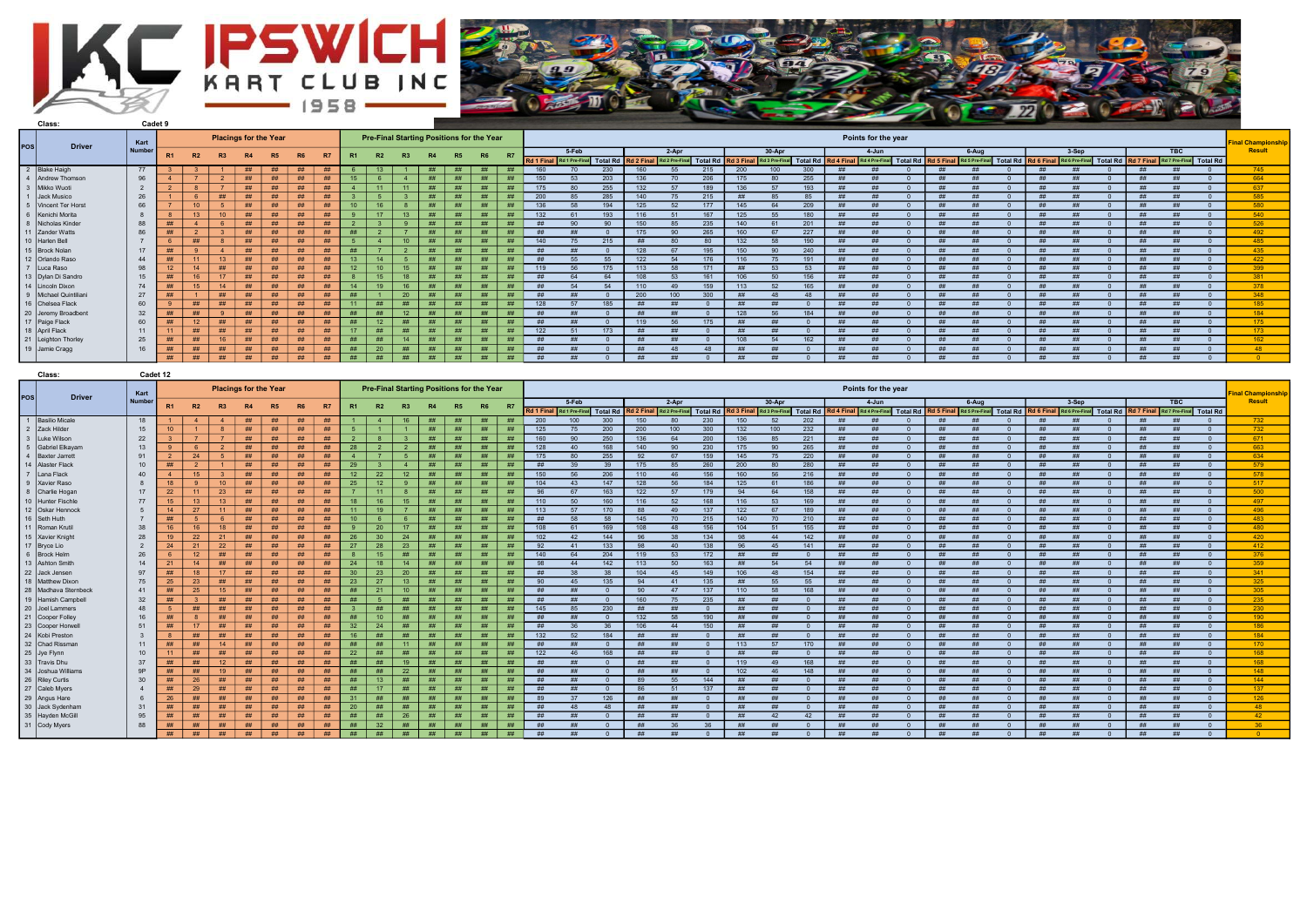



|     | Class:                                |               | Cadet 9        |    |    |                              |    |           |           |    |           |       |                 |    |    |           |                                           |    |           |                                                            |     |                 |       |      |     |                                        |     |                     |    |                                                                                                                                                                              |  |       |  |    |                          |
|-----|---------------------------------------|---------------|----------------|----|----|------------------------------|----|-----------|-----------|----|-----------|-------|-----------------|----|----|-----------|-------------------------------------------|----|-----------|------------------------------------------------------------|-----|-----------------|-------|------|-----|----------------------------------------|-----|---------------------|----|------------------------------------------------------------------------------------------------------------------------------------------------------------------------------|--|-------|--|----|--------------------------|
| pos |                                       | <b>Driver</b> | Kart           |    |    | <b>Placings for the Year</b> |    |           |           |    |           |       |                 |    |    |           | Pre-Final Starting Positions for the Year |    |           |                                                            |     |                 |       |      |     |                                        |     | Points for the year |    |                                                                                                                                                                              |  |       |  |    | <b>Final Championshi</b> |
|     |                                       |               | <b>Numbe</b>   |    | R2 | R3                           | R4 | <b>R5</b> | <b>R6</b> |    | <b>R7</b> |       |                 |    |    | <b>R5</b> | R <sub>6</sub>                            | R7 |           | 5-Feb                                                      |     |                 | 2-Apr |      |     | 30-Apr                                 |     | 4-Jun               |    | 6-Aug                                                                                                                                                                        |  | 3-Sep |  | BC | Result                   |
|     |                                       |               |                |    |    |                              |    |           |           |    |           |       |                 |    |    |           |                                           |    |           | Rd 1 Final Rd 1 Pre-Final Total Rd Rd 2 Final Rd 2 Pre-Fin |     |                 |       |      |     | nal Total Rd Rd 3 Final Rd 3 Pre-Final |     |                     |    | Total Rd   Rd 4 Final   Rd 4 Pre-Final   Total Rd   Rd 5 Final   Rd 5 Pre-Final   Total Rd   Rd 6 Final   Rd 6 Pre-Final   Total Rd   Rd 7 Final   Rd 7 Pre-Final   Total Rd |  |       |  |    |                          |
|     | 2 Blake Haigh                         |               | 77             |    |    |                              | ## | ##        |           | ## | ##        |       |                 |    |    |           | ##                                        |    | 160       |                                                            | 230 | 160             |       | 215  | 200 | 100                                    | 300 |                     |    |                                                                                                                                                                              |  |       |  |    | 745                      |
|     | 4 Andrew Thomsor                      |               | 96             |    |    |                              | ## | ##        |           | ## | ##        | 15    |                 |    | ## | ##        | ##                                        |    | 150       |                                                            | 203 |                 |       | 206  |     |                                        | 255 |                     |    |                                                                                                                                                                              |  |       |  |    | 664                      |
|     | 3 Mikko Wuoti                         |               | $\overline{2}$ |    |    |                              | ## | ##        |           | ## | ##        |       | 11              | 11 | ## | ##        | ##                                        |    | 175       |                                                            | 255 | 132             |       |      |     |                                        | 193 |                     |    |                                                                                                                                                                              |  |       |  |    | 637                      |
|     | 1 Jack Musico                         |               | 26             |    |    |                              | ## |           | - ##      |    | ##        |       |                 |    | H  |           | ##                                        |    | 200       |                                                            |     |                 |       | 215  |     |                                        |     |                     |    |                                                                                                                                                                              |  |       |  |    | 585                      |
|     | 5 Vincent Ter Hors                    |               | 66             |    | 10 |                              | ## | ##        |           | ## | ##        |       | 16              |    | ## |           | ##                                        |    | 136       |                                                            |     | 12              |       |      | 145 |                                        | 209 |                     |    |                                                                                                                                                                              |  |       |  |    | 580                      |
|     | 6 Kenichi Morita                      |               |                |    |    | 10 <sup>1</sup>              | ## | ##        | ##        |    | ##        |       | 17              | 13 |    | #H        | #H                                        |    | 132       |                                                            | 193 | 116             |       | 167  | 125 |                                        | 180 |                     |    |                                                                                                                                                                              |  |       |  |    | 540                      |
|     | 8 Nicholas Kinder                     |               | 88             | ## |    |                              | ## | #         |           | ## | ##        |       |                 |    | #  | ##        | ##                                        |    |           |                                                            |     |                 |       | 235  |     |                                        |     |                     |    |                                                                                                                                                                              |  |       |  |    | 526                      |
|     | 11 Zander Watts                       |               | 86             | ## |    |                              | ## | ##        | - ##      |    | ##        |       |                 |    | ## | ##        | ##                                        |    |           |                                                            |     |                 |       | 265  | 160 |                                        | 227 |                     |    |                                                                                                                                                                              |  |       |  |    | 492                      |
|     | 10 Harlen Bell                        |               |                |    |    |                              | ## |           | ##        |    | ##        |       |                 |    |    |           | ##                                        |    | 140       |                                                            |     |                 |       |      | 132 |                                        | 190 |                     |    |                                                                                                                                                                              |  |       |  |    | 485                      |
|     | 15 Brock Nolan                        |               | 17             | ## |    |                              | ## | ##        |           | ## | ##        |       |                 |    | ## | ##        | ##                                        |    |           |                                                            |     |                 |       |      | 150 |                                        | 240 |                     |    |                                                                                                                                                                              |  |       |  |    | 435                      |
|     | 12 Orlando Raso                       |               | 44             | ## |    | 13                           | ## | ##        |           | ## | ##        |       | 11              |    | ## | #         | ##                                        |    |           |                                                            |     | 12'             |       |      |     |                                        |     |                     |    |                                                                                                                                                                              |  |       |  |    | 422                      |
|     | 7 Luca Raso                           |               | 98             | 12 |    | ##                           | ## | ##        |           | ## | ##        |       | 10              | 15 | ## | ##        | #                                         |    |           |                                                            |     |                 |       |      |     |                                        |     |                     |    |                                                                                                                                                                              |  |       |  |    | 399                      |
|     | 13   Dylan Di Sandro                  |               | 15             | ## |    |                              | ## | ##        |           | ## | ##        |       | 15              | 18 | ## | <b>HH</b> | ##                                        | H  | <b>HH</b> |                                                            |     |                 |       |      |     |                                        | 156 |                     |    |                                                                                                                                                                              |  |       |  |    | 201                      |
|     | 14 Lincoln Dixon                      |               | 74             | ## |    | 14                           | ## | ##        | ##        |    | ##        |       | 10              | 16 |    |           | ##                                        |    |           |                                                            |     |                 |       |      |     |                                        | 165 |                     |    |                                                                                                                                                                              |  |       |  |    | 270                      |
|     | 9   Michael Quintiliar                |               | 27             | ## |    |                              | ## | ##        |           | ## | ##        |       |                 | 20 | ## | ##        | ##                                        |    |           |                                                            |     | -200            |       | 300. |     |                                        |     |                     |    |                                                                                                                                                                              |  |       |  |    | 348                      |
|     | 16 Chelsea Flack                      |               | 60             |    | ## | ##                           | ## | ##        |           | ## | ##        |       | ##              | ## | ## | ##        | ##                                        | ## | 128       |                                                            |     |                 |       |      |     |                                        |     |                     |    |                                                                                                                                                                              |  |       |  |    | 185                      |
|     | 20 Jeremy Broadbent<br>17 Paige Flack |               | 32             | ## |    |                              | ## | ##        | ##        |    | ##        |       | ##              | 12 | #  | ##        | ##                                        |    |           |                                                            |     |                 |       |      |     |                                        | 184 |                     |    |                                                                                                                                                                              |  |       |  |    | 184                      |
|     |                                       |               | 60             | ## | 12 | ##                           | ## | ##        |           | ## | ##        |       | 12 <sup>2</sup> | ## | #  | ##        | ##                                        |    |           |                                                            |     | 11 <sup>c</sup> |       | 175  | #H  |                                        |     |                     |    |                                                                                                                                                                              |  |       |  |    | 175                      |
|     | 18 April Flack                        |               | 11             |    | #  | <b>##</b>                    | ## | ##        |           | ## | ##        | $-17$ | ##              | ## | ## | ##        | #                                         |    | 122       |                                                            |     |                 |       |      |     |                                        |     |                     |    |                                                                                                                                                                              |  |       |  |    | 173                      |
|     | 21 Leighton Thorley                   |               | 25             | ## | #  | 16                           | ## | ##        |           | ## | ##        | ##    | #               | 14 | #  | ##        | ##                                        | ## |           |                                                            |     |                 |       |      | 10i |                                        | 162 |                     |    |                                                                                                                                                                              |  |       |  |    | 162                      |
|     | 19 Jamie Cragg                        |               | 16             | ## | #  | ##                           | ## | #         |           | ## | ##        | ##    | 20              | ## | ## | ##        | #                                         | ## |           |                                                            |     |                 |       |      |     |                                        |     |                     |    |                                                                                                                                                                              |  |       |  |    | AB                       |
|     |                                       |               |                | #  | ## | #                            | #  | #         |           | ## | #         | #     | #               | ## | #  | #         | ##                                        | #  | ##        |                                                            |     |                 |       |      | #H  |                                        |     |                     | ## |                                                                                                                                                                              |  |       |  |    |                          |

| Class:                | Cadet 12       |                  |                         |                              |           |    |                |    |           |                                           |                |    |    |    |           |     |                |                 |                   |              |     |      |                                    |                 |            |                         |            |                   |                |          |            |                |          |                   |                         |          |                   |
|-----------------------|----------------|------------------|-------------------------|------------------------------|-----------|----|----------------|----|-----------|-------------------------------------------|----------------|----|----|----|-----------|-----|----------------|-----------------|-------------------|--------------|-----|------|------------------------------------|-----------------|------------|-------------------------|------------|-------------------|----------------|----------|------------|----------------|----------|-------------------|-------------------------|----------|-------------------|
|                       | Kart           |                  |                         | <b>Placings for the Year</b> |           |    |                |    |           | Pre-Final Starting Positions for the Year |                |    |    |    |           |     |                |                 |                   |              |     |      |                                    |                 |            | Points for the year     |            |                   |                |          |            |                |          |                   |                         |          | inal Championship |
| pos <br><b>Driver</b> | Number         | R1               | R2                      |                              |           |    |                | R7 | <b>R1</b> |                                           | R3             | R4 |    | R6 | <b>R7</b> |     | 5-Feb          |                 |                   | $2-Apr$      |     |      | $30-Apr$                           |                 |            | $4 - Jun$               |            |                   | $6 - Aug$      |          |            | $3-Sep$        |          |                   | <b>TBC</b>              |          | Result            |
|                       |                |                  |                         | R3                           | <b>R4</b> | R5 | R <sub>6</sub> |    |           | R2                                        |                |    | R5 |    |           |     | Rd 1 Pre-Final | <b>Total Rd</b> | <b>Rd 2 Fina</b>  | Rd 2 Pre-Fir |     |      | Total Rd Rd 3 Final Rd 3 Pre-Final | <b>Total Rd</b> | Rd 4 Final | Rd 4 Pre-Final Total Rd |            | <b>Rd 5 Final</b> | Rd 5 Pre-Final | Total Rd | Rd 6 Final | Rd 6 Pre-Final | Total Rd | <b>Rd 7 Final</b> | Rd 7 Pre-Final Total Rd |          |                   |
| 1   Basilio Micale    | 18             |                  | $\overline{\mathbf{A}}$ |                              | ##        | #  | ##             | ## |           | $\mathbf{A}$                              | 16             | ## | ## | ## |           | 200 | 100            | 300             | 150               | -80          | 230 | 150  | 52                                 | 202             | - ##       | #H                      |            | ##                | ##             |          | ##         | ##             |          | ##                | ##                      |          | 732               |
| 2 Zack Hilder         | 15             | $10-10$          |                         |                              | ##        | #  | ##             | ## | -5        | $\overline{1}$                            |                | ## | ## | ## | ##        | 125 | 75             | 200             | 200               | 100          | 300 | 132  | 100                                | 232             | ##         | ##                      |            | ##                | ##             |          | ##         | ##             |          | ##                | ##                      |          | 732               |
| 3 Luke Wilson         | 22             |                  |                         |                              | ##        | ## | ##             | ## |           | -8                                        | $\mathbf{3}$   | ## | ## | ## | ##        | 160 | 90             | 250             | 136               | 64           | 200 | 136  | 85                                 | 221             | ##         | ##                      | - റ        | ##                | #H             | $\Omega$ | ##         | ##             | $\Omega$ | ##                | ##                      | $\Omega$ | 671               |
| 5 Gabriel Elkayan     | 13             |                  | - 6                     |                              | ##        | ## | ##             | ## | 28        | $\overline{2}$                            | $\overline{2}$ | ## | ## | ## | ##        | 128 | 40             | 168             | 140               | 90           | 230 | 175  | 90                                 | 265             | ##         | ##                      | - റ        | ##                | ##             | $\Omega$ | ##         | ##             | $\Omega$ | ##                | ##                      | $\Omega$ | 663               |
| 4   Baxter Jarrett    | 91             |                  | 24                      |                              | ##        | ## | ##             | ## |           |                                           |                | ## | ## | ## | ##        | 175 | -80            | 255             | -92               | -67          | 159 | 145  | 75                                 | 220             | - ##       | ##                      |            | ##                | ##             |          | ##         | ##             |          |                   |                         | $\Omega$ | 634               |
| 14 Alaster Flack      | 10             | ##               |                         |                              | ##        | ## | ##             | ## | 29        |                                           |                | ## | ## | ## | ##        | #   |                | 39              | 175               | 85           | 260 | 200  |                                    | 280             |            | #H                      |            | ##                | ##             |          | ##         | ##             |          | #H                | ##                      |          | 579               |
| 7 Lana Flack          | 40             |                  | 15                      |                              | ##        | ## | ##             | ## | 12        | 22                                        | 12             | ## | ## | ## | ##        | 150 | -56            | 206             | 110               | 46           | 156 | 160  | 56                                 | 216             | - ##       | #                       |            | ##                | ##             | $\Omega$ | ##         |                |          |                   |                         |          | 578               |
| 9 Xavier Raso         |                | 18               | - 9                     | 10 <sup>1</sup>              | ##        | ## | ##             | ## | 25        | 12 <sup>2</sup>                           | -9             | ## | ## | ## | ##        | 104 | 43             | 147             | 128               | 56           | 184 | 125  | 61                                 | 186             | - ##       | ##                      | $\sqrt{ }$ | ##                | #H             | $\Omega$ | ##         | #              |          | ##                | ##                      | $\Omega$ | 517               |
| 8 Charlie Hogar       | 17             | 22               | 11                      | 23                           | ##        | ## | ##             | ## |           | 11                                        |                | ## | ## | ## | ##        | 96  | -67            | 163             | 122               | 57           | 179 | 94   | 64                                 | 158             | - ##       | #H                      |            | #                 | #              | $\Omega$ | #          | #              |          | #                 | H                       | $\Omega$ | 500               |
| 10 Hunter Fischle     | 77             | 15 <sub>15</sub> | 13                      | 13                           | ##        | ## | ##             | ## | 18        | 16                                        | 15             | ## | ## | ## | ##        | 110 | 50             | 160             | 116               | 52           | 168 | 116  | 53                                 | 169             | ##         | ##                      |            | ##                | ##             | $\Omega$ | ##         | ##             | $\Omega$ | ##                | ##                      | $\Omega$ | 497               |
| 12 Oskar Hennock      | 5              | 14               | 27                      | 11                           | ##        | ## | ##             | ## | 11        | 19                                        |                | ## | ## | ## | #         | 113 | 57             | 170             | 88                | 49           | 137 | 122  | 67                                 | 189             | - ##       | ##                      |            | #                 | #              |          | #          | ##             |          | #H                | ##                      | $\Omega$ | 496               |
| 16 Seth Huth          |                | ##               | - 5                     |                              | ##        | ## | ##             | ## | 10        |                                           |                | ## | ## | ## | ##        | ##  | 58             | 58              | 145               |              | 215 | 140  | 70                                 | 210             | - ##       | #H                      |            | ##                |                | $\Omega$ | - ##       |                |          | ##                |                         |          | 483               |
| 11 Roman Kruti        | 38             | 16               | 16                      | 18                           | ##        | #  | ##             | ## | <b>Q</b>  | 20                                        | 17             | ## | ## | ## | ##        | 108 | 61             | 169             | 108               | 48           | 156 | 104  | 51                                 | 155             | ##         | ##                      |            | ##                | ##             | $\Omega$ | ##         | ##             |          | ##                | ##                      |          | 480               |
| 15 Xavier Knigh       | 28             | 19 <sup>°</sup>  | 22                      | 21                           | ##        | ## | ##             | ## | 26        | 30 <sup>°</sup>                           | 24             | ## | ## | ## | ##        | 102 | 42             | 144             |                   | -38          | 134 | 98   | $\overline{A}$                     | 142             |            | #H                      |            | #                 | #H             |          | #          | #H             |          |                   |                         | $\Omega$ | 420               |
| 17 Bryce Lio          | $\overline{2}$ | 24               | 21                      | 22                           | ##        | ## | ##             | ## | 27        | 28                                        | 23             | ## | ## | ## | ##        | 92  | 41             | 133             | $Q_{\mathcal{R}}$ | 40           | 138 | 96   | -45                                | 141             | - ##       | ##                      |            | ##                | ##             | $\Omega$ | - ##       | ##             |          | ##                | ##                      | $\Omega$ | 412               |
| 6 Brock Heln          | 26             | 6                | 12 <sup>2</sup>         | #                            | ##        | #  | ##             | ## |           | 15 <sup>2</sup>                           | ##             | ## | ## | ## | ##        | 140 | 64             | 204             | 119               | 53           | 172 | ##   | ##                                 |                 | - ##       | ##                      |            | ##                | ##             |          | ##         | ##             |          | #H                | ##                      |          | 376               |
| 13 Ashton Smith       | 14             | 21               | 14                      | #                            | ##        | ## | ##             | ## | 24        | 18                                        | 14             |    | ## | ## |           | 98  | -44            | 142             | 113               | 50           | 163 | - ## | 54                                 | 54              |            | #H                      |            | ##                | ##             |          | ##         | #              |          | <b>##</b>         | ##                      |          | 359               |
| 22 Jack Jensen        | 97             | ##               | 18                      | 17 <sup>2</sup>              | ##        | ## | ##             | ## | -30       | 23                                        | 20             | ## | ## | ## | ##        | #   |                | 38              | 104               | 45           | 149 | 106  | 48                                 | 154             | - ##       | ##                      |            | ##                | #H             | $\Omega$ | ##         |                |          | ##                | ##                      |          | 341               |
| 18   Matthew Dixon    | 75             | 25               | 23                      | ##                           | ##        | ## | ##             | ## | 23        | 27                                        | 13             | ## | ## | ## | ##        | ∩∩  | 45             | 135             | 94                | 41           | 135 | ##   | 55                                 | 55              | - ##       | ##                      |            | ##                | #H             |          | ##         | #H             |          | #                 | #                       |          | 325               |
| 28 Madhava Sternbeck  | 41             | ##               | 25                      | 15                           | ##        | #  | ##             | ## | ##        | 21                                        | 10             | #  | ## | ## | ##        | ##  | #              |                 | 90                | 47           | 137 | 110  | 58                                 | 168             | - ##       | ##                      |            | ##                | #H             |          | ##         | ##             |          | #H                | ##                      | $\Omega$ | 305               |
| 19 Hamish Campbel     | 32             | ##               | - 3                     | ##                           | ##        | ## | ##             | ## | #H        | - 5                                       | ##             | #  | ## | ## | ##        | #   | ##             | $\Omega$        | 160               | 75           | 235 | ##   | ##                                 | $\Omega$        | ##         | ##                      |            | ##                | ##             | $\Omega$ | ##         | ##             | $\Omega$ | ##                | ##                      | $\Omega$ | 235               |
| 20 Joel Lammers       | 48             | -5               | ##                      | ##                           | ##        | ## | ##             | ## | ె         | ##                                        | ##             | ## | ## | ## | ##        | 145 | -85            | 230             | ##                | ##           |     | #    | ##                                 |                 | - ##       | ##                      |            | ##                | ##             | - വ      | ##         | ##             | $\Omega$ | ##                | ##                      | $\Omega$ | 230               |
| 21 Cooper Folley      | 16             | ##               |                         | ##                           | ##        | ## | ##             | #  | #         | 10                                        | ##             | ## | #  | ## |           | #   |                |                 | 132               | 58           | 190 | ##   |                                    |                 |            |                         |            | #                 | #              |          | #          |                |          | #                 |                         |          | 190               |
| 23 Cooper Horwe       | 51             | ##               | 17 <sup>2</sup>         | ##                           | ##        | ## | ##             | ## | -32       | 24                                        | ##             | ## | ## | ## | ##        | ##  |                |                 | 106               | 44           | 150 | ##   | ##                                 |                 | ##         | ##                      |            | #                 | #H             |          | ##         | #              |          | ##                | #                       |          | 186               |
| 24 Kobi Prestor       | $\overline{3}$ | 8                | ##                      | ##                           | ##        | #  | ##             | ## | 16        | ##                                        | ##             | ## | ## | ## | ##        | 132 | 52             | 184             | ##                | ##           |     | ##   |                                    |                 | - ##       | ##                      |            | ##                | #H             | $\cap$   | ##         | #              |          | ##                | ##                      | $\Omega$ | 184               |
| 32 Chad Rissma        | 11             | ##               | ##                      | 14                           | ##        | ## | ##             | ## | ##        | ##                                        | 11             | ## | ## | ## | ##        | ##  | ##             | $\Omega$        | ##                | ##           |     | 113  | 57                                 | 170             | - ##       | ##                      |            | ##                | ##             | $\Omega$ | ##         | ##             |          | ##                | ##                      | $\Omega$ | 170               |
| 25 Jye Flynn          | 10             | 11               | ##                      | ##                           | ##        | ## | ##             | ## | 22        | ##                                        | ##             | ## | ## | ## | ##        | 122 | 46             | 168             | ##                | ##           |     | ##   | ##                                 |                 | ##         | ##                      |            | ##                | ##             | $\Omega$ | ##         | ##             | $\Omega$ | ##                | ##                      | $\Omega$ | 168               |
| 33 Travis Dhu         | 37             | ##               | ##                      | 12 <sup>°</sup>              | ##        | ## | ##             | #  | #         | ##                                        | 19             |    | #H | ## |           |     |                |                 |                   |              |     | 119  | 40                                 | 168             |            |                         |            | #                 |                |          |            | <b>##</b>      |          |                   |                         |          | 168               |
| 34 Joshua Williams    | 9P             | ##               | ##                      | 19                           | ##        | ## | ##             | ## | ##        | ##                                        | 22             | ## | ## | ## | ##        | #   | #              |                 | ##                |              |     | 102  |                                    | 148             | - ##       | ##                      |            | ##                | ##             |          | - ##       |                |          | ##                | #H                      |          | 148               |
| 26 Riley Curtis       | 30             | #                | 26                      | ##                           | ##        | ## | ##             | ## | ##        | 13 <sup>13</sup>                          | ##             | #  | ## | ## | ##        |     | -##            |                 |                   | 55           | 144 | ##   | ##                                 |                 | - ##       | ##                      |            | ##                | #H             |          | ##         | #              |          | ##                | ##                      |          | 144               |
| 27 Caleb Myers        | $\overline{4}$ | ##               | 29                      | ##                           | ##        | ## | ##             | ## | #         | 17 <sup>2</sup>                           | ##             | ## | ## | ## | ##        | #   | #              |                 | <b>86</b>         | 51           | 137 | ##   | ##                                 | $\Omega$        | - ##       | ##                      | $\sqrt{ }$ | ##                | #H             | $\Omega$ | ##         | ##             | $\Omega$ | ##                | ##                      | $\Omega$ | 137               |
| 29 Angus Hare         |                | 26               | ##                      | ##                           | ##        | ## | ##             | ## | 31        | #                                         | #              | ## | ## | ## | ##        | 89  | 37             | 126             | ##                | ##           |     | ##   | #                                  | $\Omega$        | ##         | ##                      | $\sqrt{ }$ | #                 | ##             | $\Omega$ | ##         | ##             | $\Omega$ | ##                | ##                      | $\Omega$ | 126               |
| 30 Jack Sydenham      | 31             | #                | ##                      | ##                           | ##        | ## | ##             | ## | 20        | ##                                        | ##             | ## | ## | ## | ##        | #   | 48             | 48              | ##                |              |     | ##   | ##                                 |                 | - ##       | ##                      |            | ##                | ##             | $\Omega$ | - ##       | ##             |          | ##                | ##                      | $\Omega$ | 48                |
| 35 Hayden McGil       | 95             | #                | ##                      | ##                           | ##        | ## | ##             | ## | ##        | ##                                        | 26             | ## | ## | ## | ##        | #   |                |                 | ##                |              |     | ##   | 42                                 | 42              |            | #H                      |            | ##                | ##             |          | - ##       | ##             |          | #H                |                         |          | 42                |
| 31 Cody Myers         | 88             | #                | ##                      | ##                           | ##        | ## | ##             | ## | ##        | 32                                        | ##             | ## | ## | ## | ##        | #   |                |                 |                   |              |     | ##   | ##                                 |                 | ##         | ##                      |            | #                 |                | $\Omega$ | ##         |                |          |                   |                         |          | 36 <sup>°</sup>   |
|                       |                | #                | #                       | #                            | ##        | #  | ##             | ## | ##        | #                                         | ##             | #  | ## | ## | #         | ##  | ##             |                 | ##                | #            |     | ##   | ##                                 |                 | ##         | ##                      |            | #                 | ##             | $\cap$   | #          | ##             |          | ##                | ##                      | $\Omega$ |                   |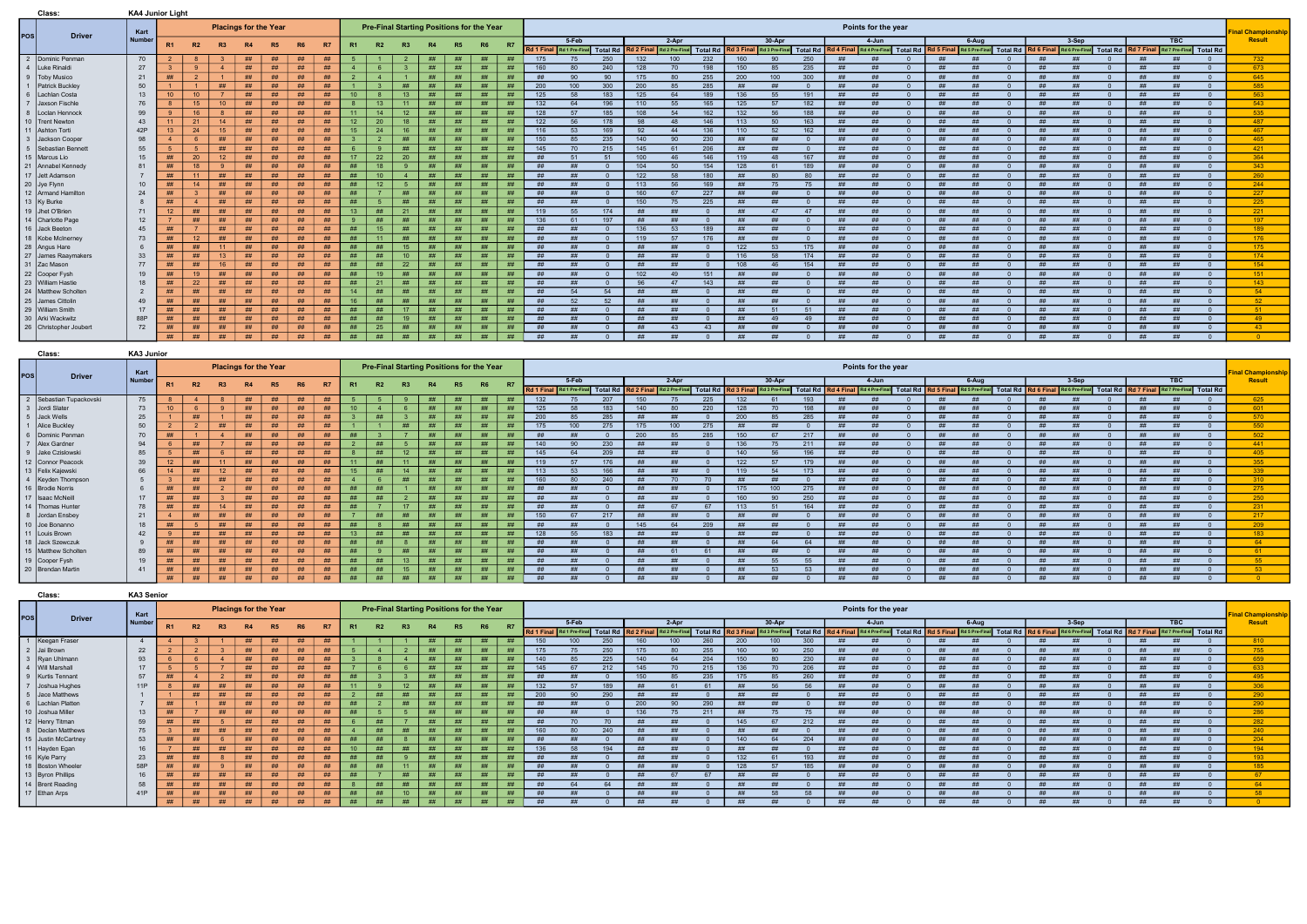|     | Class:                  | <b>KA4 Junior Light</b> |                 |                |                |                              |                |                |           |                |                |                |                                           |    |                |           |            |                 |                                    |                   |         |          |           |                  |                  |                                                                                                             |                     |    |                                                                       |            |    |           |    |                                    |                           |
|-----|-------------------------|-------------------------|-----------------|----------------|----------------|------------------------------|----------------|----------------|-----------|----------------|----------------|----------------|-------------------------------------------|----|----------------|-----------|------------|-----------------|------------------------------------|-------------------|---------|----------|-----------|------------------|------------------|-------------------------------------------------------------------------------------------------------------|---------------------|----|-----------------------------------------------------------------------|------------|----|-----------|----|------------------------------------|---------------------------|
|     |                         | Kart                    |                 |                |                | <b>Placings for the Year</b> |                |                |           |                |                |                | Pre-Final Starting Positions for the Year |    |                |           |            |                 |                                    |                   |         |          |           |                  |                  |                                                                                                             | Points for the year |    |                                                                       |            |    |           |    |                                    | <b>Final Championship</b> |
| pos | <b>Driver</b>           | <b>Number</b>           |                 |                |                | <b>R4</b>                    |                | R <sub>6</sub> |           | R <sub>1</sub> |                | R <sub>3</sub> |                                           |    | R <sub>6</sub> | <b>R7</b> |            | 5-Feb           |                                    |                   | $2-Apr$ |          |           | $30-Apr$         |                  |                                                                                                             | $4 - Jun$           |    | $6 - Aug$                                                             |            |    | $3-Sep$   |    | <b>TBC</b>                         | Result                    |
|     |                         |                         | R <sub>1</sub>  | <b>R2</b>      | R3             |                              | R <sub>5</sub> |                | <b>R7</b> |                | <b>R2</b>      |                |                                           |    |                |           |            |                 | Rd 1 Final Rd 1 Pre-Final Total Rd |                   |         |          |           |                  |                  | Rd 2 Final Rd 2 Pre-Final Total Rd Rd Rd 3 Final Rd 3 Pre-Final Total Rd Rd 4 Final Rd 4 Pre-Final Total Rd |                     |    | Rd 5 Final Rd 5 Pre-Final Total Rd Rd 6 Final Rd 6 Pre-Final Total Rd |            |    |           |    | Rd 7 Final Rd 7 Pre-Final Total Rd |                           |
|     | 2 Dominic Penman        | 70                      |                 |                |                | ##                           | ##             | ##             | ##        |                |                |                | ##                                        | ## | ##             | ##        | 175        |                 | 250                                | 132               | 100     | 232      | 160       | ar               | 250              |                                                                                                             |                     | ## |                                                                       |            | ## | #         | ## |                                    | 732                       |
|     | 4   Luke Rinald         | 27                      |                 | $\alpha$       | $\overline{4}$ | ##                           | ##             | #              | ##        |                | <b>6</b>       |                | ##                                        | #  | ##             | ##        | 160        |                 | 240                                | 128               | 70      | 198      | 150       |                  | 235              |                                                                                                             |                     | ## |                                                                       |            |    |           | ## |                                    | 673                       |
|     | 9   Toby Musico         | 21                      | ##              |                |                | ##                           | ##             | ##             | ##        |                | $\overline{a}$ |                | H                                         | ## | ##             | ##        |            |                 | 90                                 | 175               | RT      | 255      | 200       | 100 <sup>°</sup> | 300 <sub>1</sub> |                                                                                                             |                     | ## |                                                                       |            |    |           | ## |                                    | 645                       |
|     | 1   Patrick Buckley     | 50                      |                 |                | ##             | ##                           | ##             | #              | ##        |                | $\mathbf{R}$   | ##             | ##                                        | ## | ##             | ##        | 200        | 100             | 300                                | 200               | 85      | 285      | ##        | #                |                  | -##                                                                                                         |                     | ## |                                                                       |            |    | #         | ## |                                    | 585                       |
|     | 6   Lachlan Costa       | 13                      | 10              | 10             |                | ##                           | ##             | ##             | ##        | 10             | 8              | 13             | ##                                        | ## | ##             | ##        | 125        |                 | 183                                | 125               | 64      | 189      | 136       | 55               | 191              | -##                                                                                                         |                     | ## |                                                                       |            |    | #         | ## |                                    | 563                       |
|     | 7 Jaxson Fischle        | 76                      |                 | 15             | 10             | ##                           | ##             | ##             | ##        |                | 13             | $-11$          | ##                                        | ## | ##             | ##        | 132        |                 | 196                                | 110               | -55     | 165      | 125       | 57               | 182              | ##                                                                                                          |                     | ## |                                                                       |            |    | #         | ## |                                    | 543                       |
|     | 8 ILoclan Hennock       | 99                      |                 | 16             | $\mathbf{R}$   | ##                           | ##             | #              | ##        | 11             | 14             | 12             | ##                                        | ## | ##             | ##        | 128        |                 | 185                                | 108               | 54      | 162      | 132       | 56               | 188              | ##                                                                                                          | ##                  | ## |                                                                       |            |    | #         | ## |                                    | 535                       |
|     | 10 Trent Newton         | 43                      | 11              | 21             | 14             | ##                           | ##             | ##             | ##        | 12             | 20             | -18            | ##                                        | ## | ##             | ##        | 122        |                 | 178                                | $Q_{\mathcal{R}}$ | 48      | 146      | 113       | 50               | 163              | -##                                                                                                         | #H                  | ## |                                                                       |            |    | #         | ## |                                    | 487                       |
|     | 11 Ashton Tort          | 42P                     | 13 <sup>°</sup> | 24             | 15             | ##                           | ##             | #              | ##        | 15             | 24             | 16             | ##                                        | ## | ##             | ##        | 116        | -53             | 169                                | 92                | 44      | 136      | 110       | -52              | 162              | -##                                                                                                         | ##                  | ## |                                                                       |            |    | #         | ## |                                    | 467                       |
|     | 3 <b>Jackson Cooper</b> | 98                      |                 |                | ##             | ##                           | ##             | ##             | ##        |                |                | ##             | ##                                        | ## | ##             | ##        | 150        |                 | 235                                | 140               | 90.     | 230      | - ##      | #                |                  | ##                                                                                                          |                     | ## |                                                                       |            |    | #         | ## |                                    | 465                       |
|     | 5 Sebastian Bennet      | 55                      |                 | -5.            | ##             | ##                           | ##             | ##             | ##        |                | $\mathbf{Q}$   | ##             | ##                                        | ## | ##             | ##        | 145        |                 | 215                                | 145               | 61      | 206      | ##        |                  |                  |                                                                                                             |                     | ## |                                                                       |            | #  | #         | ## |                                    | 421                       |
|     | 15   Marcus Lio         | 15                      | ##              | 20             | 12             | ##                           | ##             | ##             | ##        | 17             | 22             | 20             | ##                                        | ## | ##             | ##        | <u> ##</u> | 51              | 51                                 | 100               | 46      | 146      | 119       | $\overline{AB}$  | 167              | <b>H</b>                                                                                                    |                     | ## |                                                                       |            |    | #         | ## |                                    | 364                       |
|     | 21 Annabel Kennedy      | 81                      | ##              | 18             | -9             | ##                           | ##             | #              | ##        | ##             | 18             | -9             | ##                                        | ## | ##             | ##        | ##         |                 |                                    | 104               | 50      | 154      | 128       |                  | 189              | -##                                                                                                         |                     | ## |                                                                       |            |    | #         | ## |                                    | 343                       |
|     | 17 Jett Adamso          |                         | ##              | 11             | ##             | ##                           | ##             | ##             | ##        | ##             | 10             | -4             | ##                                        | ## | ##             | ##        | ##         |                 |                                    | 122               | -58     | 180      | - ##      | 8ſ               | 80               |                                                                                                             |                     | ## |                                                                       |            | #  | #         | ## |                                    | 260                       |
|     | 20 Jye Flynn            | 10                      | ##              | 14             | ##             | ##                           | ##             | ##             | ##        | ##             | 12             | -5             | ##                                        | ## | ##             | ##        | ##         | -##             |                                    | 113               | 56      | 169      | - ##      | 75               | 75               | -##                                                                                                         |                     | ## |                                                                       |            | ## | <b>Hh</b> | ## |                                    | 244                       |
|     | 12 Armand Hamilton      | 24                      | ##              |                | ##             | ##                           | ##             | ##             | ##        | ##             |                | #              | ##                                        | ## | #              | ##        | #H         |                 |                                    | 160               | 67      | 227      | #         |                  |                  |                                                                                                             |                     | ## | #H                                                                    |            |    | #         | ## |                                    | 227                       |
|     | 13 Ky Burke             |                         | ##              | $\overline{4}$ | ##             | ##                           | ##             | #              | ##        | ##             | -5             | ##             | ##                                        | ## | ##             | ##        | ##         |                 |                                    | 150               | 75      | 225      | #         |                  |                  | - ##                                                                                                        |                     | ## |                                                                       |            | ## | ##        | ## |                                    | 225                       |
|     | 19 Jhet O'Brier         | 71                      | 12              | ##             | ##             | ##                           | ##             | #              | ##        | 13             | ##             | 21             | ##                                        | ## | ##             | ##        | 119        | 55              | 174                                | ##                | #H      |          | #H        | A7               | 47               |                                                                                                             |                     | ## | #H                                                                    | $\cap$     | #  | #         | ## |                                    | 221                       |
|     | 14 Charlotte Page       | 12                      |                 | ##             | ##             | ##                           | ##             | ##             | ##        |                | ##             | ##             | #                                         | ## | ##             | ##        | 136        | 61              | 197                                | ##                | #H      | n        | - ##      |                  |                  | -##                                                                                                         | -##                 | ## | <b>##</b>                                                             |            | ## |           | ## |                                    | 197                       |
|     | 16 Jack Beetor          | 45                      | #               |                | ##             | ##                           | ##             | ##             | ##        | ##             | 15             | ##             | ##                                        | ## | ##             | ##        | #H         | ##              |                                    | 136               | 53      | 189      | <b>HH</b> |                  |                  |                                                                                                             | $++$                | ## | #H                                                                    | $\Omega$   | #H | #         | #H |                                    | 189                       |
|     | 18 Kobe McInerne        | 73                      | ##              | 12             | ##             | ##                           | ##             | ##             | ##        | ##             | 11             | ##             | ##                                        | ## | ##             | ##        | <u> ##</u> | - <del>##</del> |                                    | 119               | 57      | 176      | - ##      | ##               | $\Omega$         | <b>HH</b>                                                                                                   | #H                  | ## | ##                                                                    | $\sqrt{ }$ | ## | - ##      | ## |                                    | 176                       |
|     | 28 Angus Hare           |                         | #               | ##             | 11             | ##                           | ##             | ##             | ##        | ##             | ##             | 15             | #                                         | ## |                | ##        | #          | #H              |                                    | ##                | #       | - 0      | 122       | - 53             | 175              | ##                                                                                                          | #H                  | ## | #                                                                     | $\Omega$   | #  | #         | ## |                                    | 175                       |
|     | 27 James Raaymakers     | 33                      | ##              | ##             | 13             | ##                           | ##             | ##             | ##        | ##             | #              | 10             | ##                                        | ## | ##             | ##        | <b>HH</b>  | - ##            |                                    | ##                | #H      | - 0      | 116       | 58               | 174              | ##                                                                                                          | #H                  | ## | #H                                                                    | - വ        | ## | #h        | ## |                                    | 174                       |
|     | 31 Zac Mason            | 77                      | ##              | ##             | 16             | ##                           | ##             | ##             | ##        | ##             | ##             | 22             | ##                                        | ## |                | ##        | ##         |                 |                                    | ##                | #       | $\Omega$ | 108       | 46               | 154              |                                                                                                             | #H                  | ## | #                                                                     | $\Omega$   | #H | #h        | ## |                                    | 154                       |
|     | 22 Cooper Fysh          | 19                      | ##              | 19             | ##             | ##                           | ##             | ##             | ##        | ##             | 19             | #              | ##                                        | ## | ##             | ##        | <u> ##</u> | ##              |                                    | 102               | 49      | 151      | #         | #H               |                  |                                                                                                             | #H                  | ## | #H                                                                    | $\cap$     | #H | #h        | ## |                                    | 151                       |
|     | 23 William Hastie       | 18                      | ##              | 22             | ##             | ##                           | ##             | ##             | ##        | ##             | 21             | ##             | ##                                        | ## | ##             | ##        | ##         | ##              |                                    | 96                | 47      | 143      | ##        | ##               |                  | ##                                                                                                          | #H                  | ## | #H                                                                    | $\Omega$   | ## | ##        | ## |                                    | 143                       |
|     | 24   Matthew Scholter   | $\overline{2}$          | ##              | ##             | ##             | ##                           | ##             | ##             | ##        | 14             | ##             | ##             | ##                                        | ## | ##             | ##        | ##         | 54              | 54                                 | ##                | #H      | - 0      | - ##      | ##               |                  | ##                                                                                                          | #H                  | ## | #H                                                                    | - വ        | #H | #         | ## |                                    | $-54$                     |
|     | 25 James Cittolin       | 49                      | ##              | ##             | ##             | ##                           | ##             | ##             | ##        | 16             | ##             | ##             | ##                                        | ## | ##             | ##        | ##         | 52              | 52                                 | ##                | ##      | - 0      | ##        | ##               |                  | ##                                                                                                          | #H                  | ## | #H                                                                    | $\Omega$   | ## | ##        | ## | #H                                 | $-52$                     |
|     | 29 William Smith        | 17                      | ##              | ##             | ##             | ##                           | ##             | ##             | ##        | ##             | ##             | 17             | ##                                        | ## | ##             | ##        | ##         | ##              |                                    | ##                | #H      | $\cap$   | ##        | 51               | 51               | <b>HH</b>                                                                                                   | #H                  | ## | #H                                                                    | $\Omega$   | ## | ##        | ## |                                    | $-51$                     |
|     | 30 Arki Wackwitz        | 88P                     | ##              | ##             | ##             | ##                           | ##             | #              | ##        | ##             | ##             | -19            | ##                                        | ## | ##             | ##        | ##         | ##              |                                    | ##                | ##      | - 0      | ##        | 49               | 49               | ##                                                                                                          | ##                  | ## | <b>##</b>                                                             | - വ        | ## | ##        | ## |                                    | - 49                      |
|     | 26 Christopher Joubert  | 72                      | ##              | ##             | ##             | ##                           | ##             | #              | ##        | ##             | 25             | ##             | ##                                        | ## | ##             | ##        | - ##       |                 |                                    | ##                | 43      | 43       | -##       | ##               |                  |                                                                                                             | #H                  | ## |                                                                       |            |    | ₩         | #H |                                    | 43 <sup>°</sup>           |
|     |                         |                         | #               | ##             | ##             | ##                           | ##             | ##             | ##        | ##             | ##             | ##             | ##                                        | ## | ##             | ##        | ##         | ##              |                                    | ##                | #H      | - 0      | ##        | ##               |                  | <b>HH</b>                                                                                                   | #H                  | ## | #H                                                                    | $\Omega$   | ## | ##        | ## |                                    |                           |

|            | Class:                  | KA3 Junior |    |    |    |           |                              |    |           |                 |    |           |           |           |                                           |           |           |           |     |     |       |     |      |            |     |           |                     |               |                                                                                                                                                                                                                                |           |         |    |            |                           |
|------------|-------------------------|------------|----|----|----|-----------|------------------------------|----|-----------|-----------------|----|-----------|-----------|-----------|-------------------------------------------|-----------|-----------|-----------|-----|-----|-------|-----|------|------------|-----|-----------|---------------------|---------------|--------------------------------------------------------------------------------------------------------------------------------------------------------------------------------------------------------------------------------|-----------|---------|----|------------|---------------------------|
|            | <b>Driver</b>           | Kart       |    |    |    |           | <b>Placings for the Year</b> |    |           |                 |    |           |           |           | Pre-Final Starting Positions for the Year |           |           |           |     |     |       |     |      |            |     |           | Points for the year |               |                                                                                                                                                                                                                                |           |         |    |            | <b>Final Championship</b> |
| <b>POS</b> |                         | Number     |    | R2 | R3 | <b>R4</b> | <b>R5</b>                    | R6 | <b>R7</b> | R <sub>1</sub>  | R2 | <b>R3</b> | <b>R4</b> | <b>R5</b> | <b>R6</b>                                 | <b>R7</b> |           | $5 - Feb$ |     |     | 2-Apr |     |      | $30 -$ Apr |     |           | 4-Jun               |               | 6-Aug                                                                                                                                                                                                                          |           | $3-Sep$ |    | <b>TBC</b> | Result                    |
|            |                         |            |    |    |    |           |                              |    |           |                 |    |           |           |           |                                           |           |           |           |     |     |       |     |      |            |     |           |                     |               | Rd 1 Final Rad Pre-Final Total Rd   Rd 2 Final Rd 2 Pre-Final Total Rd   Rd 3 Final Rd 3 Pre-Final Total Rd   Rd 4 Final Rd 4 Pre-Final Total Rd   Rd 5 Final Total Rd   Rd 5 Final Rd Pre-Final Total Rd   Rd 5 Final Rd Pre- |           |         |    |            |                           |
|            | 2 Sebastian Tupackovski | 75         |    |    |    | ##        | ##                           | ## | ##        |                 |    |           | ##        | ##        | ##                                        | ##        | 132       |           | 207 | 150 |       | 225 | 132  | 61         | 193 | ##        |                     | ##            |                                                                                                                                                                                                                                |           | #H      |    |            | 625                       |
|            | 3 Jordi Slater          | 73         |    |    |    | ##        | ##                           | ## | ##        | 10 <sup>1</sup> |    |           | ##        | ##        | ##                                        |           | 125       | 58        | 183 | 140 |       | 220 | 128  |            | 198 |           |                     |               |                                                                                                                                                                                                                                |           |         |    |            | 601                       |
|            | 5 Jack Wells            | 25         |    | ## |    | ##        | ##                           | #  | ##        |                 | ## |           | ##        |           | ##                                        | #H        | 200       |           | 285 |     |       |     | 200  |            | 285 |           |                     |               |                                                                                                                                                                                                                                |           |         |    |            | 570                       |
|            | Alice Buckley           | 50         |    |    | ## | ##        | ##                           | ## | ##        |                 |    | ##        | ##        | #         | ##                                        | ##        | 175       | 100       | 275 | 175 | 100   | 275 |      |            |     |           |                     |               |                                                                                                                                                                                                                                |           |         |    |            | 550                       |
|            | 6 IDominic Penman       | 70         |    |    |    | ##        | #                            | #  | ##        | ##              |    |           | ##        | ##        | ##                                        | ##        | ##        | ##        |     | 200 |       | 285 | 150  |            | 217 | ##        |                     | ##            |                                                                                                                                                                                                                                |           |         |    |            | 502                       |
|            | Alex Gardner            | 94         |    | ## |    | ##        | ##                           | ## |           |                 | ## |           | ##        |           | ##                                        | ##        | 140       | 90        | 230 | ##  |       |     | 136  |            | 211 | <b>HH</b> | ##                  | $\pm\text{H}$ | ##                                                                                                                                                                                                                             | <b>HH</b> | $+44$   | ## |            | 441                       |
|            | Jake Czislowski         | 85         |    | ## |    | ##        | ##                           | ## | ##        |                 | #  | 12        | ##        | ##        | ##                                        | ##        | 145       | 64        | 209 | ##  |       |     | 140  | <b>EG</b>  | 196 | - ##      |                     | $\pm\text{H}$ |                                                                                                                                                                                                                                | ##        | #H      | ## |            | 405                       |
|            | 12 Connor Peacock       | 39         |    | ## |    | #         | ##                           | ## | ##        | 11              | #  | 11        | ##        | H         | ##                                        |           | 119       | 57        | 176 | ##  |       |     | 122  |            | 179 |           |                     | #H            |                                                                                                                                                                                                                                |           |         |    |            | 355                       |
|            | 13   Felix Kajewski     | 66         |    | ## |    | ##        | ##                           | ## | ##        | 15              | ## | 14        | ##        | ##        | #                                         |           | 113       |           | 166 |     |       |     | 119  |            | 173 |           |                     |               |                                                                                                                                                                                                                                |           |         |    |            | 339                       |
|            | 4   Keyden Thompson     |            |    | ## | ## | ##        | ##                           | #  | ##        |                 |    | ##        | #         | ##        | ##                                        | ##        | 160       |           | 240 | ##  |       |     | ##   |            |     | ##        |                     | #H            |                                                                                                                                                                                                                                |           |         |    |            | 310                       |
|            | 16   Brodie Norris      |            |    | ## |    | ##        | ##                           | ## |           | ##              |    |           | ##        |           | #                                         |           | ##        |           |     | ##  |       |     | 175  | 100        | 275 |           |                     | #             |                                                                                                                                                                                                                                |           |         |    |            | 275                       |
|            | 17   Isaac McNeill      | 17         | ## | ## |    | ##        | ##                           | ## | ##        | ##              | ## |           | ##        | ##        | ##                                        | ##        | ##        | #H        |     | ##  |       |     | 160  | $\Omega$   | 250 | ##        |                     | ##            | #H                                                                                                                                                                                                                             | ##        | #H      | ## |            | 250                       |
|            | 14 Thomas Hunter        | 78         |    | ## |    | ##        | ##                           | ## | ##        | ##              |    | 17        | ##        |           | ##                                        |           | <b>HH</b> | ##        |     | #H  |       |     | 113  | <b>51</b>  | 164 |           |                     | - 444         |                                                                                                                                                                                                                                |           | $+44$   |    |            | 231                       |
|            | Jordan Ensbey           | 21         |    | ## |    | ##        | ##                           | ## | ##        |                 | ## | ##        | ##        |           | ##                                        | ##        | 150       | 67        | 217 |     |       |     |      |            |     |           |                     |               |                                                                                                                                                                                                                                |           |         | ## |            | 217                       |
|            | 10 Joe Bonanno          | 18         | ## |    | ## | ##        | ##                           | #  | ##        | ##              |    | ##        | ##        | ##        | ##                                        |           | ##        |           |     | 145 |       | 209 |      |            |     |           |                     |               |                                                                                                                                                                                                                                |           |         |    |            | 209                       |
|            | 11   Louis Brown        | 42         |    | ## |    | ##        | #                            | ## |           | 13              | ## | ##        | ##        |           | ##                                        | ##        | 128       | -55       | 183 | #   |       |     |      |            |     | ##        |                     | #H            |                                                                                                                                                                                                                                |           |         |    |            | 183                       |
|            | 18 Jack Szewczuk        |            |    | ## | #H | ##        | ##                           | ## | ##        | ##              | ## |           | ##        | ##        | #                                         | ##        | ##        | ##        |     | ##  |       |     | ##   | $C_A$      | 64  | ##        |                     | #             |                                                                                                                                                                                                                                |           | $+++$   | #H |            | 64                        |
|            | 15 Matthew Scholten     | 89         |    | ## |    | ##        | ##                           | ## |           | ##              |    | ##        |           |           | ##                                        |           | ##        | #H        |     | ##  |       |     | - ## |            |     | ##        |                     | ##            |                                                                                                                                                                                                                                | ##        | $+44$   | ## |            | 61                        |
|            | 19 Cooper Fysh          | 19         |    | ## |    | #         | ##                           | ## | ##        | ##              | ## | 13        | ##        | <b>HH</b> | ##                                        |           | ##        |           |     | ##  |       |     |      |            |     |           |                     |               |                                                                                                                                                                                                                                |           |         |    |            | -55 -                     |
|            | 20 Brendan Martin       | 41         | ## | ## | ## | ##        | ##                           | ## | ##        | ##              | ## | 15        | ##        | ##        | ##                                        |           |           |           |     |     |       |     |      |            |     |           |                     |               |                                                                                                                                                                                                                                |           |         |    |            | <b>53</b>                 |
|            |                         |            | #  | #  | #  | #         | #                            | ## | #         | ##              | #  | ##        | ##        | #         | ##                                        | ##        | ##        |           |     |     |       |     |      |            |     |           |                     |               |                                                                                                                                                                                                                                |           |         |    |            |                           |

|     | Class:                            |               | KA3 Senior     |    |                |           |           |                              |           |           |           |           |    |                                           |           |           |           |                      |           |     |     |       |     |      |            |            |          |                                                                                                                                                                                                                                |           |       |    |       |    |            |                          |  |
|-----|-----------------------------------|---------------|----------------|----|----------------|-----------|-----------|------------------------------|-----------|-----------|-----------|-----------|----|-------------------------------------------|-----------|-----------|-----------|----------------------|-----------|-----|-----|-------|-----|------|------------|------------|----------|--------------------------------------------------------------------------------------------------------------------------------------------------------------------------------------------------------------------------------|-----------|-------|----|-------|----|------------|--------------------------|--|
|     |                                   | <b>Driver</b> | Kart           |    |                |           |           | <b>Placings for the Year</b> |           |           |           |           |    | Pre-Final Starting Positions for the Year |           |           |           |                      |           |     |     |       |     |      |            |            |          | Points for the year                                                                                                                                                                                                            |           |       |    |       |    |            | <b>Final Championshi</b> |  |
| pos |                                   |               | Number         |    | R <sub>2</sub> |           | <b>R4</b> | R5                           | <b>R6</b> | <b>R7</b> | <b>R1</b> | <b>R2</b> |    |                                           |           | <b>R6</b> | <b>R7</b> |                      | $5-Feb$   |     |     | 2-Apr |     |      | $30 - Apr$ |            |          | 4-Jun                                                                                                                                                                                                                          |           | 6-Aug |    | 3-Sep |    | <b>TBC</b> | Result                   |  |
|     |                                   |               |                |    |                |           |           |                              |           |           |           |           |    |                                           |           |           |           |                      |           |     |     |       |     |      |            |            |          | Rd 1 Final Rad Pre-Final Total Rd   Rd 2 Final Rd 2 Pre-Final Total Rd   Rd 3 Final Rd 3 Pre-Final Total Rd   Rd 4 Final Rd 4 Pre-Final Total Rd   Rd 5 Final Total Rd   Rd 5 Final Rd Pre-Final Total Rd Pre-Final Total Rd R |           |       |    |       |    |            |                          |  |
|     | $\sqrt{1 + \text{Keegan}}$ Fraser |               | $\overline{4}$ |    |                |           | ##        | ##                           | ##        | ##        |           |           |    |                                           | ##        |           |           | 150                  |           | 250 | 160 |       | 260 | 200  | 100        | 300        |          |                                                                                                                                                                                                                                |           |       |    |       |    |            | 810                      |  |
|     | 2 Jai Brown                       |               | 22             |    |                |           | #         | ##                           | ##        | ##        |           |           |    |                                           | ##        | ##        | ##        | 175                  |           | 250 |     |       | 255 | 160  |            | 250        |          |                                                                                                                                                                                                                                |           |       |    |       |    |            | 755                      |  |
|     | 3 Ryan Uhlmann                    |               | 93             |    |                |           | ##        | ##                           | ##        | ##        |           |           |    |                                           |           |           |           | 140                  |           | 225 |     |       | 204 | 150  |            |            |          |                                                                                                                                                                                                                                |           |       |    |       |    |            | 659                      |  |
|     | 4   Will Marsha                   |               | 17             |    |                |           | ##        | ##                           | ##        | ##        |           |           |    |                                           | #         |           |           | 145                  |           | 212 | 145 |       | 215 | 136  |            | 206        |          |                                                                                                                                                                                                                                |           |       |    |       |    |            |                          |  |
|     | 9   Kurtis Tennant                |               | 57             |    |                |           | ##        | ##                           | ##        |           |           |           |    |                                           | ##        | ##        |           |                      |           |     | 150 |       | 235 | 175  |            | 260        |          |                                                                                                                                                                                                                                |           |       |    |       |    |            | 495                      |  |
|     | 7 Joshua Hughes                   |               | 11P            |    | ##             | <b>##</b> | ##        | ##                           | ##        | ##        |           |           | 12 |                                           | <b>HH</b> |           |           | 132                  |           | 189 | #   |       |     |      |            |            |          |                                                                                                                                                                                                                                |           |       |    |       |    |            | 306                      |  |
|     | 5 Jace Matthews                   |               |                |    | ##             | ##        | ##        | ##                           | ##        | ##        |           | ##        | ## |                                           | ##        | ##        | ##        | 200                  |           | 290 | ##  |       |     | #H   |            |            | <b>H</b> |                                                                                                                                                                                                                                | ##        |       |    |       |    |            | 290                      |  |
|     | 6 Lachlan Platten                 |               |                |    |                |           | ##        |                              | ##        |           |           |           |    |                                           | ##        |           |           | <b>HH</b>            |           |     | 200 |       | 290 |      |            |            |          |                                                                                                                                                                                                                                | ##        |       |    |       |    |            | 290                      |  |
|     | 10 Joshua Miller                  |               | 13             | ## |                |           | ##        |                              | ##        | ##        |           |           |    |                                           | ##        | ##        | ##        | ##                   |           |     | 136 |       | 211 |      |            |            |          |                                                                                                                                                                                                                                | ##        |       |    |       |    |            | 286                      |  |
|     | 12 Henry Titman                   |               | 59             | ## |                |           | ##        | ##                           | #         | ##        |           | ##        |    |                                           |           |           |           |                      |           |     |     |       |     |      |            | 212        |          |                                                                                                                                                                                                                                |           |       |    |       |    |            | 282                      |  |
|     | 8   Declan Matthews               |               | 75             |    | ##             | ##        | ##        | ##                           | ##        | ##        |           | ##        | ## | #                                         | ##        | #H        | #         | 160                  |           | 240 | #   |       |     |      |            |            |          |                                                                                                                                                                                                                                |           |       |    |       |    |            | 240                      |  |
|     | 15 Justin McCartney               |               | 53             |    | #H             |           | ##        | ##                           | ##        | ##        |           | #H        |    |                                           | ##        | #H        |           |                      |           |     |     |       |     | 140  |            |            |          |                                                                                                                                                                                                                                |           |       |    |       |    |            | 204                      |  |
|     | 11 Hayden Egan                    |               | 16             |    | H              | <b>##</b> | ##        | ##                           | ##        | ##        |           | #H        |    |                                           | ##        |           |           | 136                  |           |     |     |       |     |      |            |            |          |                                                                                                                                                                                                                                |           |       |    |       |    |            | 194                      |  |
|     | 16   Kyle Parry                   |               | 23             |    | ##             |           | ##        | ##                           | ##        | ##        |           | ##        |    |                                           | ##        | ##        |           |                      |           |     | ##  |       |     | 132  |            | 193        |          |                                                                                                                                                                                                                                | <b>Hh</b> |       |    |       |    |            | 193                      |  |
|     | 18 Boston Wheeler                 |               | 58P            | ## | H              |           | ##        | ##                           | ##        | ##        |           | #H        |    |                                           | ##        | ##        |           |                      |           |     | #   |       |     | 128  |            | 185        |          |                                                                                                                                                                                                                                | ##        |       |    |       |    |            | 185                      |  |
|     | 13 Byron Phillips                 |               | 16             |    | ##             |           | ##        | ##                           | ##        | ##        |           |           | ## | ##                                        | ##        | ##        | ##        | ##                   | <b>HH</b> |     | ##  |       | 67  | #H   |            |            | #        | $+44$                                                                                                                                                                                                                          | ##        |       | #H |       | #H |            | <b>67</b>                |  |
|     | 14 Brent Reading                  |               | 58             |    |                |           | ##        |                              | ##        |           |           |           |    |                                           |           |           |           | ##                   |           | 64  | ##  |       |     | - ## |            |            |          |                                                                                                                                                                                                                                | ##        |       |    |       |    |            | 64                       |  |
|     | 17 Ethan Arps                     |               | 41P            | ## | #              | ##        | #         | ##                           | #         | ##        | ##        | ##        | 10 |                                           | ##        | ##        | ##        | + <del>+ + + +</del> |           |     | ##  |       |     | #H   | EQ         | $\sqrt{2}$ |          |                                                                                                                                                                                                                                | ##        |       |    |       |    |            | -58                      |  |
|     |                                   |               |                | #  | #              | #         | #         | #                            | #         | ##        | ##        | ##        | ## | ##                                        | #         | ##        | ##        |                      |           |     | ##  |       |     |      |            |            |          |                                                                                                                                                                                                                                |           |       |    |       |    |            |                          |  |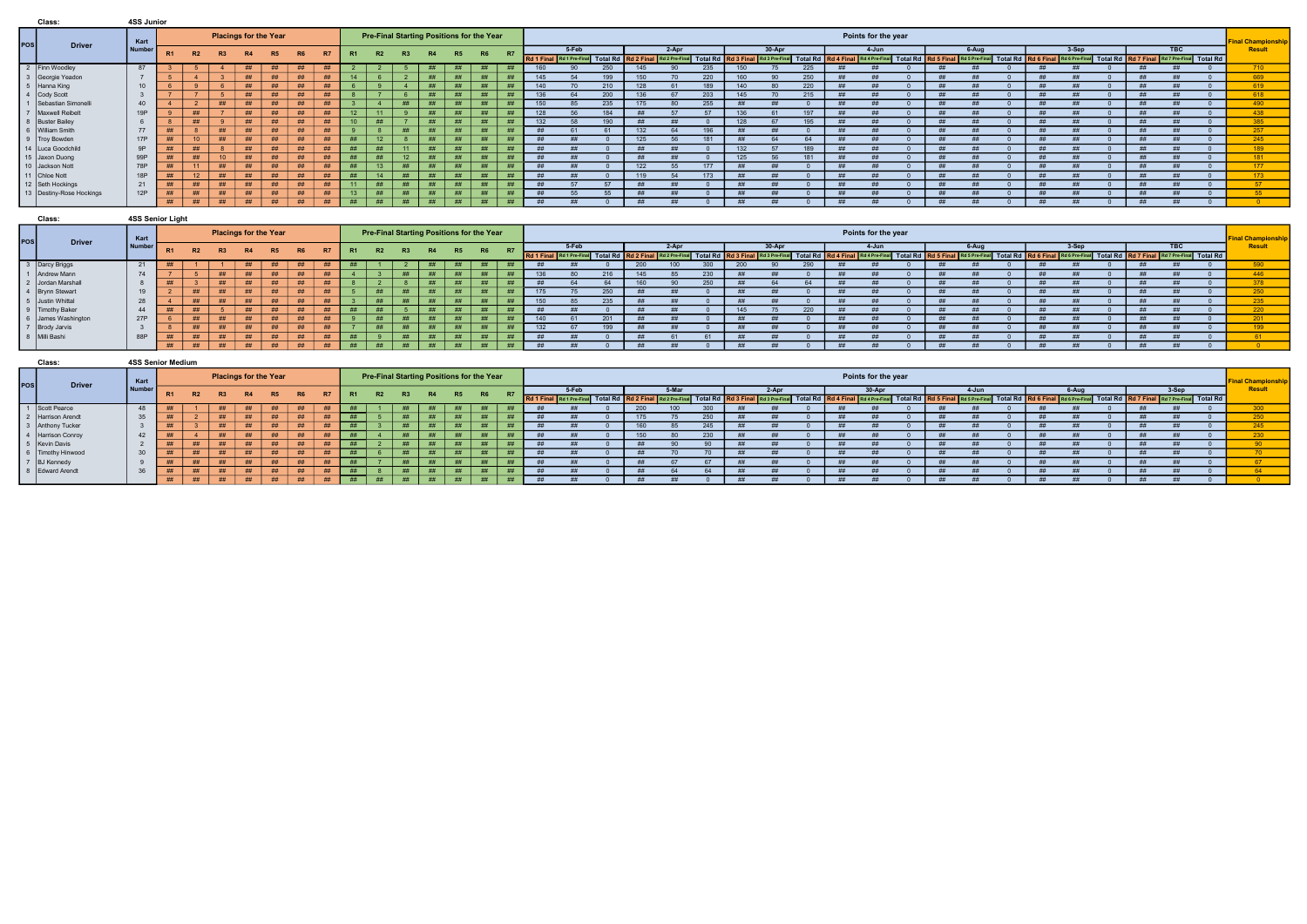|       | Class:                     | 4SS Junior |     |           |                              |    |    |                |    |                  |                 |    |                                           |           |           |    |     |       |                  |     |       |     |     |        |     |    |                     |    |       |    |         |    |                                                                                                                                                                                                                                |                       |
|-------|----------------------------|------------|-----|-----------|------------------------------|----|----|----------------|----|------------------|-----------------|----|-------------------------------------------|-----------|-----------|----|-----|-------|------------------|-----|-------|-----|-----|--------|-----|----|---------------------|----|-------|----|---------|----|--------------------------------------------------------------------------------------------------------------------------------------------------------------------------------------------------------------------------------|-----------------------|
| POS l | <b>Driver</b>              | Kart       |     |           | <b>Placings for the Year</b> |    |    |                |    |                  |                 |    | Pre-Final Starting Positions for the Year |           |           |    |     |       |                  |     |       |     |     |        |     |    | Points for the year |    |       |    |         |    |                                                                                                                                                                                                                                | <b>Final Champion</b> |
|       |                            | Number     | -R1 | <b>R2</b> | R3                           | R4 | R5 | R <sub>6</sub> | R7 |                  | R2              |    | R <sub>4</sub>                            | <b>R5</b> | <b>R6</b> |    |     | 5-Feb |                  |     | 2-Apr |     |     | 30-Apr |     |    | 4-Jun               |    | 6-Aug |    | $3-Sep$ |    | <b>TBC</b>                                                                                                                                                                                                                     | Result                |
|       |                            |            |     |           |                              |    |    |                |    |                  |                 |    |                                           |           |           |    |     |       |                  |     |       |     |     |        |     |    |                     |    |       |    |         |    | Rd 1 Final Rd 1 Pre-Final Total Rd   Rd 2 Final Rd 2 Pre-Final Total Rd   Rd 3 Final Rd 3 Pre-Final Rd 3 Pre-Final Total Rd   Rd 4 Final Net A Pre-Final Rd 4 Pre-Final Total Rd   Rd 4 Final Rd 4 Pre-Final Total Rd   Rd 5 F |                       |
|       | 2 Finn Woodley             | 87         |     |           |                              | ## | ## | #              | ## |                  |                 |    | ##                                        |           |           | ## | 160 |       | 250              | 145 |       | 235 | 150 |        |     |    |                     |    |       |    |         |    |                                                                                                                                                                                                                                | 710                   |
|       | Georgie Yeadon             |            |     |           |                              | ## | ## | ##             |    | 14               |                 |    | ##                                        |           |           |    | 145 |       | 199              | 150 |       | 220 | 160 |        | 250 |    |                     |    |       |    |         |    |                                                                                                                                                                                                                                | 669                   |
|       | 5 Hanna King               | 10         |     |           |                              | #  | ## | #              |    |                  |                 |    | ##                                        |           | H         | ## | 140 |       | 210              | 128 |       | 189 | 140 |        |     |    |                     |    |       |    |         |    |                                                                                                                                                                                                                                | 619                   |
|       | 4 Cody Scott               |            |     |           |                              | ## | ## | ##             |    |                  |                 |    | ##                                        |           | ##        | ## | 136 |       | 200              | 136 |       | 203 | 145 |        | 215 |    |                     | ## |       | ## |         | ## |                                                                                                                                                                                                                                | 618                   |
|       | Sebastian Simonelli        | 40         |     |           | #                            | #  | ## | ##             | ## |                  |                 | ## | #                                         |           | #         | ## | 150 |       | 235              | 175 |       | 255 |     |        |     |    |                     |    |       |    |         |    |                                                                                                                                                                                                                                | 490                   |
|       | Maxwell Reibelt            | 19P        |     |           |                              | ## | ## | ##             |    | 12 <sup>12</sup> |                 |    | ##                                        |           |           |    | 128 |       | 184              |     |       |     | 136 |        | 197 |    |                     |    |       |    |         |    |                                                                                                                                                                                                                                | 438                   |
|       | 8 Buster Bailey            |            |     | ##        |                              | #  | ## | ##             |    | 10               | ##              |    | #                                         |           | ##        |    | 132 | 58    | 190 <sub>1</sub> |     |       |     | 128 |        | 195 |    |                     |    |       |    |         |    |                                                                                                                                                                                                                                | 385                   |
|       | 6   William Smith          | 77         |     |           | ##                           | #  | ## | #              |    |                  |                 | ## | #                                         |           | ##        |    | ##  |       |                  | 132 |       | 196 | #   |        |     |    |                     | #H |       |    |         | ## |                                                                                                                                                                                                                                | 257                   |
|       | 9   Troy Bowden            | <b>17P</b> |     |           |                              | ## | ## | #              | ## | ##               |                 |    | #                                         | ##        | #         | ## | ##  |       |                  | 125 |       | 181 |     |        |     | -# |                     |    |       |    |         |    |                                                                                                                                                                                                                                | 245                   |
|       | 14   Luca Goodchild        | 9P         |     |           |                              | ## | ## | #              | ## | ##               | ##              |    | #                                         |           | ##        |    | ##  |       |                  |     |       |     | 132 |        | 189 |    |                     |    |       |    |         |    |                                                                                                                                                                                                                                | 189                   |
|       | 15 Jaxon Duong             | 99P        |     |           |                              | ## |    | ##             |    | ##               |                 |    | ##                                        |           | ##        |    |     |       |                  |     |       |     | 125 |        |     |    |                     |    |       |    |         |    |                                                                                                                                                                                                                                | 181                   |
|       | 10 Jackson Nott            | 78P        |     |           |                              | ## | ## | #              |    | ##               | 13 <sup>1</sup> | ## | ##                                        |           | #         |    | ##  |       |                  | 122 |       | 177 |     |        |     |    |                     |    |       |    |         |    |                                                                                                                                                                                                                                | 177                   |
|       | 11 Chloe Nott              | 18P        |     |           |                              | ## | ## | ##             |    | ##               | 14              | ## | ##                                        |           | ##        | ## | ##  | ##    |                  | 119 |       | 173 |     |        |     | ## |                     | ## |       | ## |         | ## |                                                                                                                                                                                                                                | 173                   |
|       | 12 Seth Hockings           | 21         | ##  | ##        | ##                           | #  | ## | #              | ## | 11               | ##              | ## | #                                         | ##        | ##        | ## | ##  |       |                  |     |       |     |     |        |     | ## |                     |    |       |    |         |    |                                                                                                                                                                                                                                | -57                   |
|       | 13   Destiny-Rose Hockings | 12P        | ##  | ##        | ##                           | #  | ## | #              | ## | 13               | ##              |    | ##                                        |           | ##        |    | ##  | 55    |                  |     |       |     |     |        |     |    |                     |    |       |    |         |    |                                                                                                                                                                                                                                | 55                    |
|       |                            |            | #   | ##        | ##                           | #  | #  | #              | ## | ##               | #               | ## | #                                         | #         | #         | ## | ##  | ##    |                  |     |       |     | ##  |        |     |    |                     |    |       |    |         |    |                                                                                                                                                                                                                                |                       |

|     | Class:                                                                                                                                                                                                                | 4SS Senior Light |           |    |    |           |                              |                |      |    |           |           |    |                                           |    |           |     |           |                                               |     |      |         |     |        |     |    |                                                       |    |                            |    |                                 |  |                                    |                         |
|-----|-----------------------------------------------------------------------------------------------------------------------------------------------------------------------------------------------------------------------|------------------|-----------|----|----|-----------|------------------------------|----------------|------|----|-----------|-----------|----|-------------------------------------------|----|-----------|-----|-----------|-----------------------------------------------|-----|------|---------|-----|--------|-----|----|-------------------------------------------------------|----|----------------------------|----|---------------------------------|--|------------------------------------|-------------------------|
| Pos | <b>Driver</b>                                                                                                                                                                                                         | Kart             |           |    |    |           | <b>Placings for the Year</b> |                |      |    |           |           |    | Pre-Final Starting Positions for the Year |    |           |     |           |                                               |     |      |         |     |        |     |    | Points for the year                                   |    |                            |    |                                 |  |                                    | <b>IFinal Champions</b> |
|     |                                                                                                                                                                                                                       | Number           | <b>R1</b> |    |    | <b>R4</b> | R5                           |                |      |    |           | <b>R3</b> |    | R5                                        | R6 | <b>R7</b> |     | 5-Feb     |                                               |     | 2-Ap |         |     | 30-Apr |     |    | 4-Jun                                                 |    | 6-Aug                      |    | 3-Sep                           |  | <b>TBC</b>                         | Resu                    |
|     |                                                                                                                                                                                                                       |                  |           | R2 |    |           |                              | R <sub>6</sub> | / R7 |    | <b>R2</b> |           | R4 |                                           |    |           |     |           | Rd 1 Final Rd 1 Pre-Final Total Rd Rd 2 Final |     |      | Total I |     |        |     |    | Total Rd Rd 4 Final Rd 4 Pre-Final Total Rd Rd 5 Fina |    | Rd 5 Pre-Final Total Rd Rd |    | 6 Final Rd 6 Pre-Final Total Rd |  | Rd 7 Final Rd 7 Pre-Final Total Rd |                         |
|     | 3 Darcy Briggs                                                                                                                                                                                                        | 21               |           |    |    |           |                              | ##             | ##   |    |           |           |    | ##                                        |    |           |     |           |                                               | 200 |      | 300     | 200 |        | 290 |    |                                                       |    |                            |    |                                 |  |                                    | 590                     |
|     | 1   Andrew Mann                                                                                                                                                                                                       | 74               |           |    |    |           | ##                           | ##             |      |    |           | ##        | #  | #                                         | ## | III       | 136 | <b>BU</b> | 216                                           | 145 |      | 230     | #   |        |     |    | ##                                                    | ## |                            |    |                                 |  |                                    | 446                     |
|     |                                                                                                                                                                                                                       |                  |           |    |    |           | ##                           | ##             |      |    |           |           | ## | ##                                        | ## |           |     |           |                                               | 161 |      | 250     | ##  |        | 64  |    |                                                       | #  |                            |    |                                 |  |                                    |                         |
|     |                                                                                                                                                                                                                       | 19               |           | ## | ## |           | ##                           | ##             | ##   |    | #         | ##        | ## | #                                         | ## |           | 175 |           | 250                                           |     |      |         |     |        |     |    |                                                       | ## |                            |    |                                 |  |                                    |                         |
|     |                                                                                                                                                                                                                       | 28               |           | ## | ## |           | ##                           | ##             |      |    | #         | ##        | ## | #                                         | ## |           | 150 |           | 235                                           |     |      |         | #   |        |     |    | ##                                                    | ## |                            |    |                                 |  |                                    | 235                     |
|     |                                                                                                                                                                                                                       | 44               |           | ## |    | ##        | ##                           | ##             | ##   | ## | #         |           | ## | ##                                        | ## |           | #   |           |                                               |     |      |         | 145 |        | 220 |    |                                                       |    |                            |    |                                 |  |                                    | 220                     |
|     |                                                                                                                                                                                                                       | 27P              |           | ## | ## | ##        | ##                           | ##             | ##   |    | ##        | ##        | ## | ##                                        | #  |           | 140 |           | 201                                           |     |      |         | #   |        |     |    |                                                       | ## |                            |    |                                 |  |                                    | 201                     |
|     |                                                                                                                                                                                                                       |                  |           | ## | ## |           | ##                           | ##             | ##   |    | #         | ##        | ## | ##                                        | ## |           | 132 |           | 199                                           | ##  |      |         | ##  |        |     | ## | ##                                                    | ## |                            |    |                                 |  |                                    | 199                     |
|     | 2<br>2<br>Jordan Marshall<br>4<br>Brynn Stewart<br>5<br>Justin Whittal<br>9<br>Timothy Baker<br>6<br>James Washington<br>7<br>Brody Jarvis<br>8<br>Milli Bashington<br>8<br>Milli Bashington<br>8<br>Milli Bashington | 88P              |           | ## | #  | ##        | ##                           | ##             | ##   | ## |           | #         | ## | #                                         | #  |           |     |           |                                               |     |      |         |     |        |     |    |                                                       |    |                            |    |                                 |  |                                    |                         |
|     |                                                                                                                                                                                                                       |                  |           | #  | #  | ##        | #                            | #              | #    | #  | #         | #         | #  | #                                         | ## | $+444$    | #   |           |                                               | H   |      |         | ##  |        |     |    |                                                       | ## |                            | ## |                                 |  |                                    |                         |

|                     | Class:                                                                                                                                                              | 4SS Senior Medium |                         |                |    |           |                              |           |           |                |                                           |                |    |           |           |           |           |       |                              |      |       |             |    |       |                                                   |                        |    |                           |                 |                                                                       |     |       |                          |
|---------------------|---------------------------------------------------------------------------------------------------------------------------------------------------------------------|-------------------|-------------------------|----------------|----|-----------|------------------------------|-----------|-----------|----------------|-------------------------------------------|----------------|----|-----------|-----------|-----------|-----------|-------|------------------------------|------|-------|-------------|----|-------|---------------------------------------------------|------------------------|----|---------------------------|-----------------|-----------------------------------------------------------------------|-----|-------|--------------------------|
| $\vert$ POS $\vert$ | <b>Driver</b>                                                                                                                                                       | Kart              |                         |                |    |           | <b>Placings for the Year</b> |           |           |                | Pre-Final Starting Positions for the Year |                |    |           |           |           |           |       |                              |      |       |             |    |       |                                                   | Points for the year    |    |                           |                 |                                                                       |     |       | <b>IFinal Champions.</b> |
|                     |                                                                                                                                                                     | <b>Number</b>     | -R1                     | R <sub>2</sub> | R3 | <b>R4</b> | R5                           | <b>R6</b> | <b>R7</b> | R <sub>1</sub> | <b>R2</b>                                 | <b>R3</b>      | R4 | <b>R5</b> | <b>R6</b> | <b>D7</b> |           | 5-Feb |                              |      | 5-Mar |             |    | 2-Apr |                                                   | 30-Apr                 |    | 4-Jun                     |                 | 6-Aug                                                                 |     | 3-Sep | Resul                    |
|                     |                                                                                                                                                                     |                   |                         |                |    |           |                              |           |           |                |                                           |                |    |           |           |           | Rd 1 Fina |       | Rd 1 Pre-Final Total Rd Rd 2 |      |       | Total Rd Rd |    |       | <b>B</b> Final Rd 3 Pre-Final Total Rd Rd 4 Final | Rd 4 Pre-Final Total R |    | Rd 5 Final Rd 5 Pre-Final | <b>Total Rd</b> | Rd 6 Final Rd 6 Pre-Final Total Rd Rd 7 Final Rd 7 Pre-Final Total Rd |     |       |                          |
|                     |                                                                                                                                                                     | 48                |                         |                |    |           |                              | ##        |           | ##             |                                           |                |    |           |           |           |           |       |                              | 20   |       |             |    |       |                                                   |                        | ## |                           |                 |                                                                       |     |       | 300                      |
|                     |                                                                                                                                                                     | 35                |                         |                |    |           | ##                           | ##        |           | ##             |                                           |                | H  | ##        | ##        | ##        |           |       |                              |      |       | 250         |    |       |                                                   | ---                    | ## |                           |                 |                                                                       |     |       | 250                      |
|                     |                                                                                                                                                                     |                   | 11.11                   |                | ## | $+444$    | ##                           | ##        | ##        | ##             |                                           |                | ## | ##        | ##        |           |           |       |                              |      |       | 245         |    |       |                                                   |                        | ## |                           |                 |                                                                       |     |       | QAE                      |
|                     |                                                                                                                                                                     | 42                | $\overline{\mathbf{u}}$ |                |    | $+444$    | ##                           | ##        | ##        | ##             |                                           |                | ## | ##        | ##        | ##        |           |       |                              |      |       |             | ## |       |                                                   | ---                    | ## |                           |                 |                                                                       |     |       | 230 <sub>1</sub>         |
|                     |                                                                                                                                                                     |                   | 11.11                   | ##             | ## | $+111$    | ##                           | #         |           | ##             |                                           |                | ## | ##        | ##        |           |           |       |                              |      |       |             |    |       |                                                   |                        | ## |                           |                 |                                                                       |     |       |                          |
|                     |                                                                                                                                                                     | 30                | $\overline{\mathbf{u}}$ | ##             |    | $+444$    | ##                           | ##        | ##        | ##             |                                           | $+111$         | ## | ##        | ##        | ##        |           |       |                              |      |       |             |    |       |                                                   | 世世                     | ## |                           |                 |                                                                       |     |       |                          |
|                     |                                                                                                                                                                     |                   | $\overline{\mathbf{u}}$ | ##             |    | ш         | ##                           | ##        | ##        | ##             |                                           |                | ## | ##        | ##        | ##        |           |       |                              |      |       |             |    |       |                                                   |                        | #  |                           |                 |                                                                       |     |       |                          |
|                     | 1<br>Scott Pearce<br>2<br>Harrison Arendt<br>3<br>Anthony Tucker<br>4<br>4<br>Farrison Conroy<br>5<br>6<br>Timothy Hinwood<br>7<br>BJ Kennedy<br>8<br>Edward Arendt | 36                | ##                      | ##             | ## | $+444$    | ##                           | ##        | ##        | ##             |                                           |                | H  | H         | ##        | ##        |           |       |                              | . Ht |       |             |    | ##    |                                                   | ##                     | ## |                           |                 | ***                                                                   |     |       |                          |
|                     |                                                                                                                                                                     |                   | ##                      | #              | #  | #         | ##                           | #         | ##        | ##             |                                           | $\overline{u}$ | ## | H         | ##        | ##        |           |       |                              |      |       |             | ## |       |                                                   |                        | ## |                           |                 |                                                                       | -## |       |                          |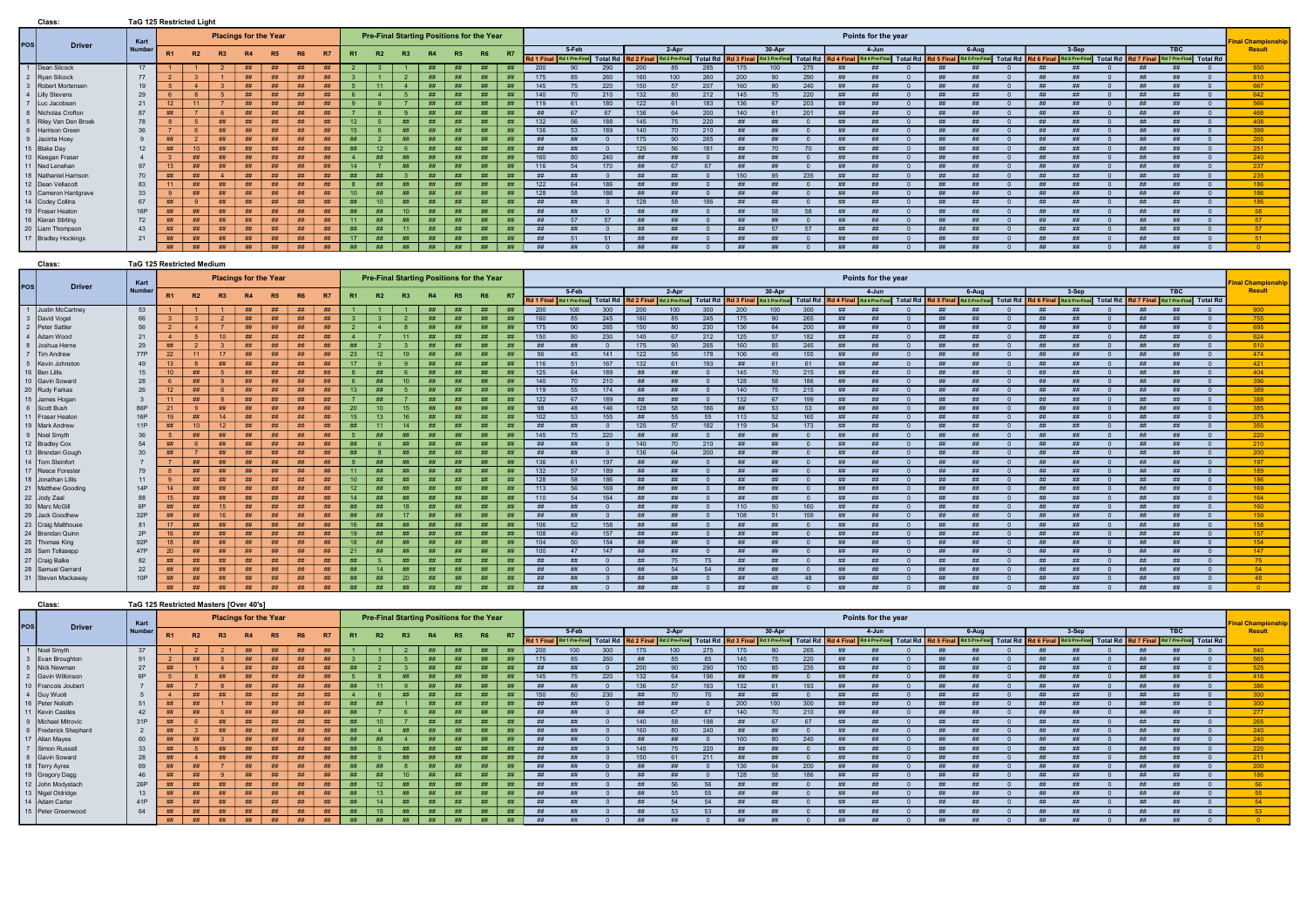## Class: TaG 125 Restricted Medium

|       | Class:                | <b>TaG 125 Restricted Light</b> |                |           |                              |    |           |    |    |                 |                                           |    |           |           |           |           |           |           |           |           |         |     |     |            |     |     |                     |               |       |           |         |                                                                                                                                                                                                                                |    |                                    |                           |
|-------|-----------------------|---------------------------------|----------------|-----------|------------------------------|----|-----------|----|----|-----------------|-------------------------------------------|----|-----------|-----------|-----------|-----------|-----------|-----------|-----------|-----------|---------|-----|-----|------------|-----|-----|---------------------|---------------|-------|-----------|---------|--------------------------------------------------------------------------------------------------------------------------------------------------------------------------------------------------------------------------------|----|------------------------------------|---------------------------|
| POS l | <b>Driver</b>         | Kart                            |                |           | <b>Placings for the Year</b> |    |           |    |    |                 | Pre-Final Starting Positions for the Year |    |           |           |           |           |           |           |           |           |         |     |     |            |     |     | Points for the year |               |       |           |         |                                                                                                                                                                                                                                |    |                                    | <b>Final Championship</b> |
|       |                       | <b>Numbe</b>                    | R <sub>1</sub> | <b>R2</b> | R3                           | R4 | <b>R5</b> | R6 | R7 | R <sub>1</sub>  | R2                                        | R3 | <b>R4</b> | <b>R5</b> | <b>R6</b> | <b>R7</b> |           | 5-Feb     |           |           | $2-Apr$ |     |     | $30 - Apr$ |     |     | 4-Jun               |               | 6-Aug |           | $3-Sep$ |                                                                                                                                                                                                                                |    | <b>TBC</b>                         | Result                    |
|       |                       |                                 |                |           |                              |    |           |    |    |                 |                                           |    |           |           |           |           |           |           |           |           |         |     |     |            |     |     |                     |               |       |           |         | Rd 1 Final Rd 1 Pre-Final Total Rd   Rd 2 Final Rd 2 Pre-Final Total Rd   Rd 3 Final Rd 3 Final Total Rd   Rd 4 Final Rd 4 Pre-Final Total Rd   Rd 5 Final Rd 6 Pre-Final Total Rd   Rd 6 Final Rd 6 Pre-Final Total Rd   Rd 6 |    | Rd 7 Final Rd 7 Pre-Final Total Rd |                           |
|       | Dean Silcock          | 17                              |                |           |                              | ## | ##        | ## | ## |                 |                                           |    | ##        |           |           | ##        | 200       |           | 290       | 200       |         | 285 | 175 | 100        | 275 | ##  |                     | ##            |       | ##        |         |                                                                                                                                                                                                                                |    |                                    | 850                       |
|       | Ryan Silcock          | 77                              |                |           |                              | #  | ##        | ## | ## |                 |                                           |    | #         | ##        | ##        | ##        | 175       |           | 260       | 160       | 100     | 260 | 200 |            | 290 |     |                     | #             |       |           |         |                                                                                                                                                                                                                                |    |                                    | 810                       |
|       | Robert Mortensen      | 19                              |                |           |                              | #  | ##        | ## |    |                 |                                           |    | ##        |           | ##        | ##        | 145       |           | 220       | 150       |         | 207 | 160 |            | 240 |     |                     |               |       | ##        |         |                                                                                                                                                                                                                                |    |                                    | 667                       |
|       | 4   Lilly Stevens     | 29                              |                |           |                              | #  | ##        | ## |    |                 |                                           |    | #         |           |           | ##        | 140       |           | 210       | 132       |         | 212 | 145 |            | 220 | #H  | ##                  | #H            | ##    |           | $+44$   |                                                                                                                                                                                                                                |    |                                    | 642                       |
|       | Luc Jacobsen          | 21                              |                |           |                              | #  | ##        | ## | ## |                 |                                           |    | #         |           | ##        | ##        | 119       | 61        | 180       | 122       |         | 183 | 136 |            | 203 |     |                     |               |       |           |         |                                                                                                                                                                                                                                |    |                                    | 566                       |
|       | Nicholas Crofton      | 87                              |                |           |                              | #  | ##        | ## | ## |                 |                                           |    | #         | ##        | #H        | ##        |           |           |           | 136       |         | 200 | 140 |            | 201 |     |                     |               |       |           |         |                                                                                                                                                                                                                                |    |                                    | 468                       |
|       | Riley Van Den Broek   | 78                              |                |           | ##                           | #  | ##        | ## | ## | 12 <sub>2</sub> |                                           | #H | ##        |           | ##        | ##        | 132       |           | 188       | 145       |         | 220 |     |            |     |     |                     |               |       | #         |         |                                                                                                                                                                                                                                |    |                                    | 408                       |
|       | 6 Harrison Green      | 36                              |                |           | ##                           | #  | ##        | #  | ## | 15              |                                           | ## | ##        | ##        | ##        | ##        | 136       | 53        | 189       | 140       |         | 210 | ##  |            |     | ##  |                     | #             |       | ##        |         |                                                                                                                                                                                                                                | ## |                                    | 399                       |
|       | 9 Jacinta Hoey        |                                 |                |           | ##                           | ## | ##        | ## |    | ##              |                                           |    | ##        |           | ##        |           | <b>HH</b> | #H        |           | 175       |         | 265 | #   |            |     | ##  | #H                  | $\pm\text{H}$ | ##    | ##        | $+44$   |                                                                                                                                                                                                                                | ## |                                    | 265                       |
|       | 15 Blake Day          | 12                              | ##             | 10        | #H                           | #  | ##        | #  | ## | ##              | 12                                        |    | ##        | H         | ##        | ##        | ##        | #H        |           | 125       |         | 181 | #   |            |     |     |                     |               |       | #         |         |                                                                                                                                                                                                                                |    |                                    | 251                       |
|       | 10   Keegan Fraser    |                                 |                | ##        | ##                           | ## | <b>HH</b> | ## | ## |                 | ##                                        | ## | ##        |           | #H        |           | 160       |           | 240       |           |         |     |     |            |     |     |                     |               |       |           |         |                                                                                                                                                                                                                                |    |                                    | 240                       |
|       | 11 Ned Lenehar        | 97                              |                | ##        | ##                           | #  | ##        | #  | ## | 14              |                                           | ## | ##        | ##        | ##        | ##        | 116       |           | 170       |           |         |     |     |            |     | -## |                     |               |       |           |         |                                                                                                                                                                                                                                |    |                                    | 237                       |
|       | 18 Nathaniel Harrison | 70                              |                | ##        |                              | #  | ##        | #  | ## | ##              | #                                         |    | #         | ##        | ##        | ##        | ##        | #H        |           | ##        |         |     | 150 |            | 235 |     |                     | #             |       |           |         |                                                                                                                                                                                                                                |    |                                    | 235                       |
|       | 12   Dean Vellacott   | 83                              |                | ##        | ##                           | ## | ##        | ## |    |                 | ##                                        | ## | ##        |           | ##        | ##        | 122       | 64        | 186       | <b>HH</b> |         |     | ##  |            |     | ##  |                     | <b>HH</b>     |       |           |         |                                                                                                                                                                                                                                | #H |                                    | 186                       |
|       | 13 Cameron Hardgrave  | 33                              |                | ##        | ##                           | ## | ##        | ## | ## | 10 <sup>1</sup> | ##                                        | ## | ##        | ##        | ##        | ##        | 128       | 58        | 186       | $++$      |         |     | #H  |            |     | ##  | ##                  | H             | ##    | <b>HH</b> | $+44+$  |                                                                                                                                                                                                                                | #H |                                    | 186                       |
|       | 14 Codey Collins      | 67                              |                |           | #                            | ## | <b>HH</b> | ## | ## | H               | $10^{-1}$                                 | #  | ##        |           | #H        |           | -##       | <b>##</b> |           | 128       |         | 186 |     |            |     |     |                     |               |       |           |         |                                                                                                                                                                                                                                |    |                                    | 186                       |
|       | 19   Fraser Heaton    | <b>16P</b>                      |                | ##        | ##                           | #  | ##        | ## | ## | #               | ##                                        | 10 | ##        | #H        | ##        | ##        |           |           |           |           |         |     |     |            |     |     |                     |               |       |           |         |                                                                                                                                                                                                                                |    |                                    | 58                        |
|       | 16   Kieran Stirling  | 72                              | ##             | ##        | ##                           | #  | ##        | ## | ## | 11              | ##                                        | ## | ##        | ##        | ##        | ##        | ##        | <b>57</b> | <b>57</b> |           |         |     | #   |            |     | ##  |                     | #             |       | ##        |         |                                                                                                                                                                                                                                |    |                                    | - 57                      |
|       | 20   Liam Thompson    | 43                              |                | ##        | ##                           | #  | ##        | ## | ## | ##              | ##                                        |    | #         | ##        | #         | ##        | ##        |           |           | ##        |         |     | ##  |            |     | ##  |                     | ##            |       |           |         |                                                                                                                                                                                                                                |    |                                    | 57                        |
|       | 17   Bradley Hockings | 21                              | ##             | ##        | ##                           | ## | ##        | ## |    | 17              | ##                                        | ## | #         | ##        | ##        | ##        | ##        | <b>51</b> | 51        | #         | $+111$  |     | ##  |            |     | ##  | ##                  | #             | ##    | #         | $+111$  |                                                                                                                                                                                                                                | #H |                                    | -51                       |
|       |                       |                                 | #              | ##        | #                            | #  | #         | #  | ## | #               | #                                         | ## | ##        | #         | #         | ##        | ##        | #H        |           | ##        |         |     | ##  |            |     | ##  |                     | <b>HH</b>     |       | ##        |         |                                                                                                                                                                                                                                | ## |                                    |                           |

| pos             | <b>Driver</b>      | Kart       |                 |           |                 |    | <b>Placings for the Year</b> |                |    |           |    |              |           |                | Pre-Final Starting Positions for the Year |           |       |                           |                 |                     |                |     |           |          |     |                   | Points for the year                                                                                          |           |           |            |    |                                                            |           |                                    | <b>Final Championship</b> |
|-----------------|--------------------|------------|-----------------|-----------|-----------------|----|------------------------------|----------------|----|-----------|----|--------------|-----------|----------------|-------------------------------------------|-----------|-------|---------------------------|-----------------|---------------------|----------------|-----|-----------|----------|-----|-------------------|--------------------------------------------------------------------------------------------------------------|-----------|-----------|------------|----|------------------------------------------------------------|-----------|------------------------------------|---------------------------|
|                 |                    | Number     | R1              | <b>R2</b> | R3              | R4 | R5                           | R <sub>6</sub> | R7 | <b>R1</b> | R2 | R3           | R4        | R <sub>5</sub> | R6                                        | <b>R7</b> |       | 5-Feb                     |                 |                     | $2 - A$ pr     |     |           | 30-Apr   |     |                   | 4-Jun                                                                                                        |           | $6 - Aug$ |            |    | $3-Sep$                                                    |           | <b>TBC</b>                         | Result                    |
|                 |                    |            |                 |           |                 |    |                              |                |    |           |    |              |           |                |                                           |           |       | Rd 1 Final Rd 1 Pre-Final |                 | Total Rd Rd 2 Final |                |     |           |          |     |                   | Rd 2 Pre-Final Total Rd Rd 3 Final Rd 3 Pre-Final Total Rd Rd 4 Final Rd 4 Pre-Final Total Rd Rd Rd Rd Final |           |           |            |    | Rd 5 Pre-Final Total Rd Rd 6 Final Rd 6 Pre-Final Total Rd |           | Rd 7 Final Rd 7 Pre-Final Total Rd |                           |
|                 | 1 Justin McCartney | 53         |                 |           |                 | ## | ##                           | ##             | ## |           |    |              | ##        | ##             | ##                                        | ##        | 200   | 10 <sup>1</sup>           | 300             | -200                |                | 300 | 200       | 100      | 300 |                   |                                                                                                              |           |           |            |    |                                                            |           |                                    | 900                       |
|                 | 3 David Vogel      | 66         |                 |           |                 | ## | ##                           | ##             | ## |           |    |              |           |                | ##                                        |           | 160   |                           | 245             | 160                 |                | 245 | 175       | $\alpha$ | 265 |                   |                                                                                                              | ##        |           |            |    |                                                            |           |                                    | 755                       |
|                 | 2 Peter Sattler    | 56         |                 |           |                 | ## | ##                           | ##             | ## |           |    |              |           |                |                                           |           | 175   |                           | 265             | 150                 |                | 230 | 136       |          | 200 |                   |                                                                                                              | #         |           |            |    |                                                            |           |                                    | 695                       |
|                 | 4 Adam Wood        | 21         |                 |           | 10              | ## | ##                           | ##             | ## |           |    |              | ##        |                | ##                                        | ##        | 150   |                           | 230             | 145                 | 67             | 212 | 125       |          | 182 |                   |                                                                                                              | ##        |           |            |    |                                                            |           |                                    | 624                       |
|                 | 8 Joshua Herne     | 29         | ##              |           |                 | ## | ##                           | ##             | ## | ##        |    |              | ##        | ##             | ##                                        | ##        |       |                           |                 | 175                 | Q <sub>0</sub> | 265 | 160       |          | 245 |                   |                                                                                                              | ##        | ##        |            |    |                                                            |           |                                    | 510                       |
|                 | 7 Tim Andrew       | 77P        | 22              | 11        | 17              | ## | ##                           | ##             | ## | 23        | 12 | 19           | ##        | #H             | ##                                        | ##        | ୍ରନ   | 45                        | 141             | 122                 | 56             | 178 | 106       |          | 155 | - ##              |                                                                                                              | ##        | #H        |            | #H | ##                                                         | ##        | <b>HH</b>                          | 474                       |
|                 | 5   Kevin Johnston | 49         | 13 <sup>°</sup> | -8        | ##              | #  | ##                           | ##             | ## | 17        | ്യ | $\mathbf{q}$ | ##        | ##             | ##                                        | ##        | 116   |                           | 167             | 132                 | 61             | 193 | ##        |          | 61  |                   |                                                                                                              | ##        | ##        |            |    |                                                            | ##        |                                    | 421                       |
| 16   Ben Lillis |                    | 15         | 10              | ##        |                 | ## | ##                           | ##             | #  |           | ## |              | ##        | ##             | ##                                        | ##        | 125   | -64                       | 189             | ##                  | ##             |     | 145       | - 70     | 215 | - ##              |                                                                                                              | ##        | ##        |            |    |                                                            |           |                                    | 404                       |
|                 | 10 Gavin Soward    | 28         |                 | ##        |                 | ## | ##                           | ##             | ## |           | ## | 10           | ##        |                | ##                                        | ##        | 140   | - 70                      | 210             | ##                  | ##             |     | 128       | 58       | 186 | - <del>1111</del> | #                                                                                                            | ##        | #H        |            | #H | #                                                          | #H        |                                    | 396                       |
|                 | 20 Rudy Farkas     | 26         | 12              | ##        |                 | ## | ##                           | ##             | ## | 13        | ## |              | ##        |                |                                           | ##        | 119   | 55                        | 174             | #                   | ##             |     | 140       | 75       | 215 | #H                |                                                                                                              | #         | #H        |            | #H | #                                                          | #         |                                    | 389                       |
|                 | 15 James Hogan     |            | 11              | ##        |                 | ## | ##                           | ##             | ## |           | ## |              | ##        |                | ##                                        | ##        | 122   | 67                        | 189             |                     | ##             |     | 132       |          | 199 |                   |                                                                                                              | ##        | <b>##</b> |            |    |                                                            | ##        |                                    | 388                       |
|                 | 6 Scott Bush       | 86P        |                 |           | ##              | ## | ##                           | ##             | ## | 20        | 10 | 15           | ##        | ##             | ##                                        | ##        |       |                           | 146             | 128                 | 58             | 186 | ##        |          | 53  |                   |                                                                                                              | ##        | ##        |            |    |                                                            | #H        |                                    | 385                       |
|                 | 11   Fraser Heaton | 16P        | 19              | ##        | 14              | ## | ##                           | ##             | ## | -15       | 13 | 16           | ##        |                | #H                                        | ##        | 102   | -53                       | 155             |                     |                | 55  | 113       |          | 165 |                   |                                                                                                              | ##        |           |            |    |                                                            |           |                                    | 375                       |
|                 | 19 Mark Andrey     | <b>11P</b> | ##              | 10        | 12 <sup>2</sup> | ## | ##                           | ##             | ## | ##        | 11 | 14           | <b>HH</b> |                | ##                                        | ##        |       |                           |                 | 125                 | 57             | 182 | 119       |          | 173 |                   |                                                                                                              |           |           |            |    |                                                            |           |                                    | 355                       |
|                 | 9 Noel Smyth       | 36         |                 | ##        | ##              | ## | ##                           | ##             | ## |           | #H | #            | ##        |                | ##                                        |           | - 145 |                           | 220             |                     |                |     |           |          |     |                   |                                                                                                              |           |           |            |    |                                                            |           |                                    | 220                       |
|                 | 12 Bradley Cox     | 54         | ##              |           | ##              | ## | ##                           | ##             | ## | ##        |    |              |           |                |                                           |           |       |                           |                 | 140                 |                | 210 | ##        |          |     |                   |                                                                                                              | #H        |           |            |    |                                                            |           |                                    | 210                       |
|                 | 13 Brendan Gough   | 30         | ##              |           | ##              | ## | ##                           | ##             | ## | ##        |    |              |           |                |                                           |           |       |                           |                 | 136                 | 64             | 200 |           |          |     |                   |                                                                                                              | <b>HH</b> |           |            |    |                                                            |           |                                    | 200                       |
|                 | 14   Tom Steinfort |            |                 | ##        | ##              | ## | ##                           | ##             | ## |           | ## | ##           | ##        | ##             | ##                                        | ##        | 136   |                           | 197             | #                   | #H             |     | ##        |          |     | - ##              |                                                                                                              | ##        | #H        |            | ## | ##                                                         | <b>##</b> | <b>HH</b>                          | 197                       |
|                 | 17 Reece Foreste   | 79         |                 | ##        | ##              | ## | ##                           | ##             | ## | 11        | #H | #H           | ##        | #H             | ##                                        | ##        | 132   | <b>E7</b>                 | 189             |                     |                |     | ##        |          |     |                   | H                                                                                                            | ##        | #         |            | #H | #H                                                         | <b>##</b> | <b>HH</b>                          | 189                       |
|                 | 18 Jonathan Lillis | 11         | $\alpha$        | ##        | ##              | ## | ##                           | ##             | ## | 10        | #  | ##           | ##        | #H             | ##                                        | ##        | 128   | 58                        | 186             |                     |                |     | ##        |          |     |                   |                                                                                                              | ##        | #H        |            | #H |                                                            | ##        | ##                                 | 186                       |
|                 | 21 Matthew Gooding | 14P        | 14              | #         | #               | #  | ##                           | ##             | ## | 12        | #  | ##           | ##        | ##             | ##                                        | ##        | 113   |                           | 169             |                     |                |     | ##        |          |     | - ##              |                                                                                                              | ##        | ##        |            |    |                                                            | ##        | ##                                 | 169                       |
|                 | 22 Jody Zaal       | 88         | 15              | ##        | ##              | ## | ##                           | ##             | ## | 14        | #  | ##           | ##        | ##             | ##                                        | ##        | 110   | -54                       | 164             | #                   |                |     | ##        |          |     | <b>HH</b>         | #                                                                                                            | ##        | ##        |            | #  |                                                            | #H        |                                    | 164                       |
|                 | 30 Marc McGill     | 6P         | ##              | ##        | 15              | ## | ##                           | ##             | ## | ##        | #  | 18           | ##        |                | #                                         | ##        | ##    | #H                        |                 | #                   | ##             |     | 110       | 50       | 160 | #H                | #H                                                                                                           | ##        | #H        | $\Omega$   | H  |                                                            | ##        | #H                                 | 160                       |
|                 | 29 Jack Goodhew    | 32P        | ##              | ##        | 16              | ## | ##                           | ##             | ## | ##        | #  | 17           | ##        |                | #                                         | ##        | #     | #H                        |                 | ##                  | #              |     | 108       | 51       | 159 | - ##              |                                                                                                              | ##        | #H        | $\sqrt{ }$ |    | $#+$                                                       | #         |                                    | 159                       |
|                 | 23 Craig Malthouse | 81         | 17              | ##        | ##              | ## | ##                           | ##             | ## | 16        | ## | ##           | ##        |                | ##                                        | ##        | 106   | -52                       | 158             |                     |                |     | ##        |          |     |                   |                                                                                                              | ##        | #H        |            |    |                                                            |           |                                    | 158                       |
|                 | 24 Brendan Quinn   | 2P         | 16              | ##        | ##              | ## | ##                           | ##             | ## | 19        | ## | ##           | ##        | ##             | ##                                        | ##        | 108   |                           | 157             |                     |                |     |           |          |     |                   |                                                                                                              | ##        | ##        |            |    |                                                            |           |                                    | 157                       |
|                 | 25 Thomas King     | 92P        | 18              | ##        | ##              | ## | ##                           | ##             | ## | 18        | H  | #H           | ##        |                | ##                                        | ##        | 104   | 50                        | 154             |                     |                |     |           |          |     |                   |                                                                                                              | ##        |           |            |    |                                                            |           |                                    | 154                       |
|                 | 26 Sam Tollasepp   | 47P        | 20              | ##        | ##              | ## | ##                           | ##             | ## | 21        | ## | ##           | <b>HH</b> |                | ##                                        | ##        | 100   |                           | 14 <sub>1</sub> |                     |                |     |           |          |     |                   |                                                                                                              |           |           |            |    |                                                            |           |                                    | 147                       |
|                 | 27 Craig Balke     | 82         | ##              | ##        | ##              | ## | ##                           | ##             | ## | #         |    | ##           | ##        |                | ##                                        |           |       |                           |                 |                     |                |     |           |          |     |                   |                                                                                                              |           |           |            |    |                                                            |           |                                    | 75                        |
|                 | 28 Samuel Gerrard  | 22         | ##              | ##        | ##              | ## | ##                           | ##             | ## | ##        | 14 | ##           | ##        |                | ##                                        | ##        |       |                           |                 |                     | 54             | 54  |           |          |     |                   |                                                                                                              | #H        |           |            |    |                                                            |           |                                    | -54                       |
|                 | 31 Steven Mackawa  | 10P        | ##              | ##        | ##              | ## | ##                           | ##             | ## | ##        | ## | 20           | ##        |                |                                           | #         |       |                           |                 |                     |                |     |           |          |     |                   |                                                                                                              |           |           |            |    |                                                            |           |                                    | $\overline{AB}$           |
|                 |                    |            | #               | ##        | #               | #  | ##                           | ##             | ## | ##        | ## | ##           | ##        | #              | #                                         | ##        | ##    |                           |                 |                     |                |     | <b>HH</b> |          |     |                   |                                                                                                              | ##        | ##        |            | ## | ##                                                         | <b>##</b> | <b>HH</b>                          |                           |

## Class: TaG 125 Restricted Masters [Over 40's]

|            | <b>Driver</b>         | Kart   |           |    | <b>Placings for the Year</b> |           |    |           |           |                |           |           | Pre-Final Starting Positions for the Year |           |           |    |      |       |     |     |       |              |     |        |                                                                                                                        |      | Points for the year |           |       |    |                                                                                                                                   |    |            | <b>Final Championshir</b> |
|------------|-----------------------|--------|-----------|----|------------------------------|-----------|----|-----------|-----------|----------------|-----------|-----------|-------------------------------------------|-----------|-----------|----|------|-------|-----|-----|-------|--------------|-----|--------|------------------------------------------------------------------------------------------------------------------------|------|---------------------|-----------|-------|----|-----------------------------------------------------------------------------------------------------------------------------------|----|------------|---------------------------|
| <b>POS</b> |                       | Number | <b>R1</b> | R2 | R3                           | <b>R4</b> | R5 | <b>R6</b> | <b>R7</b> | D <sub>1</sub> | <b>R2</b> |           |                                           | <b>R5</b> | <b>R6</b> |    |      | 5-Feb |     |     | 2-Apr |              |     | 30-Apr |                                                                                                                        |      | 4-Jun               |           | 6-Aug |    | 3-Sep                                                                                                                             |    | <b>TBC</b> | Result                    |
|            |                       |        |           |    |                              |           |    |           |           |                |           |           |                                           |           |           |    |      |       |     |     |       |              |     |        | Rd 1 Final Rd 1 Pre-Final Total Rd Rd 2 Final Rd 2 Pre-Final Total Rd Rd Rd 8 Final Rd 3 Pre-Final Total Rd Rd 4 Final |      |                     |           |       |    | Reserved Final Total Rd Rd 5 Final Rd 5 Pre-Final Total Rd Rd 6 Final Rd 6 Pre-Final Total Rd Rd Rd 7 Final Rd Pre-Final Total Rd |    |            |                           |
|            | 1 Noel Smyth          | 37     |           |    |                              | ##        | ## | ##        | ##        |                |           |           | ##                                        |           |           | ## | 200  | 100   | 300 | 175 | 100   | 275          | 175 |        | 265                                                                                                                    |      |                     |           |       | #H |                                                                                                                                   | ## |            | 840                       |
|            | Evan Broughton        | 91     |           | ## |                              | ##        | ## | ##        |           |                |           |           | ##                                        |           |           |    | 175  |       | 260 |     |       | 85           | 145 |        | 220                                                                                                                    |      |                     |           |       |    |                                                                                                                                   |    |            | 565                       |
|            | <b>Nick Newman</b>    | 27     |           |    |                              | ##        | ## | ##        |           | ##             |           |           | ##                                        |           | ##        | ## | ##   |       |     | 200 |       | 290          | 150 |        | 235                                                                                                                    |      | ##                  |           |       | ## |                                                                                                                                   |    |            | 525                       |
|            | Gavin Wilkinson       | 6P     |           |    |                              | ##        | ## | ##        |           |                |           |           | ##                                        |           |           |    | 145  |       | 220 | 132 |       | 196          |     |        |                                                                                                                        |      |                     |           |       |    |                                                                                                                                   |    |            | 416                       |
|            | 10   Francois Joubert |        |           |    |                              | ##        | #  | #         | ##        | ##             |           |           | ##                                        | ##        | #         |    | ##   |       |     | 136 |       | 193          | 132 |        | 193                                                                                                                    |      |                     |           |       |    |                                                                                                                                   |    |            | 386                       |
|            | 4 Guy Wuoti           |        |           | ## |                              | ##        | ## | ##        |           |                |           | #H        | ##                                        |           |           |    | 150  |       |     |     |       |              |     |        |                                                                                                                        |      |                     |           |       |    |                                                                                                                                   |    |            | 300                       |
|            | 16   Peter Nolloth    | 51     |           | ## |                              | ##        | ## | ##        |           |                |           |           | ##                                        |           | H         | #H |      |       |     |     |       |              | 200 | 100    | 300                                                                                                                    |      |                     |           |       |    |                                                                                                                                   |    |            | 300 <sub>1</sub>          |
|            | 11   Kevin Castles    | 42     |           | ## |                              | #         | #  | #         | ##        | ##             |           |           | ##                                        |           | ##        |    |      |       |     |     |       |              | 140 |        | 210                                                                                                                    |      |                     |           |       |    |                                                                                                                                   |    |            | 277                       |
|            | 9   Michael Mitrovic  | 31P    |           |    |                              | ##        | ## | ##        |           | ##             |           |           |                                           |           | ##        |    |      |       |     | 140 |       | 198          | #   |        |                                                                                                                        |      |                     |           |       |    |                                                                                                                                   |    |            | 265                       |
|            | 6 Frederick Shephard  |        |           |    |                              | ##        | ## | ##        |           | ##             |           | ##        | ##                                        |           | ##        | ## | ##   |       |     | 160 |       | 240          | ##  |        |                                                                                                                        | - ## |                     | <b>HH</b> |       |    |                                                                                                                                   |    |            | 240                       |
|            | 17 Allan Mayes        | 60     |           | ## |                              | ##        | ## | ##        |           | ##             |           |           | ##                                        |           | ##        |    |      |       |     |     |       |              | 160 |        | 240                                                                                                                    |      |                     |           |       |    |                                                                                                                                   |    |            | 240                       |
|            | 7 Simon Russell       | 33     |           |    |                              | ##        | ## | ##        | ##        | ##             |           | ##        | ##                                        | ##        | #         | ## | ##   |       |     | 145 |       | 220          |     |        |                                                                                                                        |      |                     |           |       |    |                                                                                                                                   |    |            | 220                       |
|            | Gavin Soward          | 28     |           |    |                              | ##        | ## | ##        |           | ##             |           | #         | ##                                        |           |           |    |      |       |     | 150 |       |              |     |        |                                                                                                                        |      |                     |           |       |    |                                                                                                                                   |    |            | 211                       |
|            | 18   Terry Ayres      | 69     |           | ## |                              | ##        | ## | ##        |           | ##             |           |           | #                                         |           | ##        |    |      |       |     |     |       |              | 136 |        | 200                                                                                                                    |      |                     |           |       |    |                                                                                                                                   |    |            | 200                       |
|            | 19 Gregory Dagg       | 46     |           | ## |                              | ##        | ## | ##        |           | ##             | ##        | $10^{-1}$ | #                                         | H         | ##        | ## | #f   |       |     |     |       |              | 128 |        | 186                                                                                                                    |      |                     |           |       |    |                                                                                                                                   |    |            | 186                       |
|            | 12 John Modystach     | 26P    |           | ## |                              | ##        | ## | ##        |           | ##             | 12        | ##        |                                           |           | ##        |    |      |       |     |     |       | 56           |     |        |                                                                                                                        |      |                     |           |       |    |                                                                                                                                   |    |            | <b>EQ</b>                 |
|            | 13 Nigel Oldridge     | 13     |           | ## |                              | ##        | ## | ##        |           | ##             |           | ##        | ##                                        |           | ##        | ## | ##   |       |     | ##  |       | $55^{\circ}$ | #H  |        |                                                                                                                        | - ## | ##                  | ##        | ##    |    |                                                                                                                                   |    |            | -55 -                     |
|            | 14 Adam Carter        | 41P    |           | ## |                              | ##        | ## | ##        |           | ##             |           | ##        | ##                                        |           |           |    | ##   |       |     |     |       |              |     |        |                                                                                                                        |      |                     |           |       |    |                                                                                                                                   |    |            | 54                        |
|            | 15 Peter Greenwood    | 64     | ##        | #  | ##                           | ##        | #  | #         | ##        | ##             | 15        | ##        | ##                                        | ##        | ##        | ## | - ## |       |     |     |       |              |     |        |                                                                                                                        |      |                     |           |       |    |                                                                                                                                   |    |            | <b>E2</b>                 |
|            |                       |        | ##        | #  | #                            | #         | #  | #         | #         | ##             | #         | ##        | ##                                        | ##        | ##        | ## | ##   |       |     |     |       |              |     |        |                                                                                                                        |      |                     |           |       |    |                                                                                                                                   |    |            |                           |